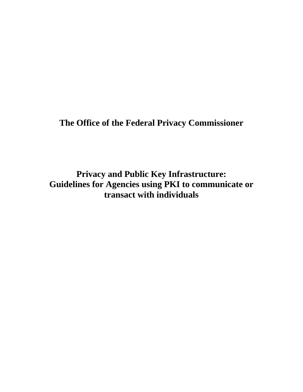**The Office of the Federal Privacy Commissioner** 

**Privacy and Public Key Infrastructure: Guidelines for Agencies using PKI to communicate or transact with individuals**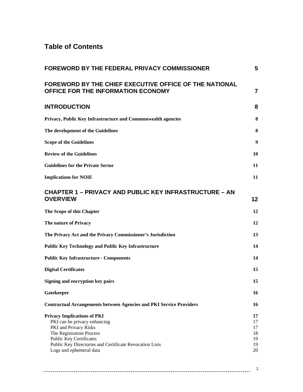### **Table of Contents**

| FOREWORD BY THE FEDERAL PRIVACY COMMISSIONER                                                                                                                                                                                                    | 5                                      |
|-------------------------------------------------------------------------------------------------------------------------------------------------------------------------------------------------------------------------------------------------|----------------------------------------|
| <b>FOREWORD BY THE CHIEF EXECUTIVE OFFICE OF THE NATIONAL</b><br>OFFICE FOR THE INFORMATION ECONOMY                                                                                                                                             | $\overline{7}$                         |
| <b>INTRODUCTION</b>                                                                                                                                                                                                                             | 8                                      |
| Privacy, Public Key Infrastructure and Commonwealth agencies                                                                                                                                                                                    | 8                                      |
| The development of the Guidelines                                                                                                                                                                                                               | 8                                      |
| <b>Scope of the Guidelines</b>                                                                                                                                                                                                                  | 9                                      |
| <b>Review of the Guidelines</b>                                                                                                                                                                                                                 | 10                                     |
| <b>Guidelines for the Private Sector</b>                                                                                                                                                                                                        | 11                                     |
| <b>Implications for NOIE</b>                                                                                                                                                                                                                    | 11                                     |
| <b>CHAPTER 1 – PRIVACY AND PUBLIC KEY INFRASTRUCTURE – AN</b><br><b>OVERVIEW</b>                                                                                                                                                                | 12                                     |
| The Scope of this Chapter                                                                                                                                                                                                                       | 12                                     |
| The nature of Privacy                                                                                                                                                                                                                           | 12                                     |
| The Privacy Act and the Privacy Commissioner's Jurisdiction                                                                                                                                                                                     | 13                                     |
| <b>Public Key Technology and Public Key Infrastructure</b>                                                                                                                                                                                      | 14                                     |
| <b>Public Key Infrastructure - Components</b>                                                                                                                                                                                                   | 14                                     |
| <b>Digital Certificates</b>                                                                                                                                                                                                                     | 15                                     |
| Signing and encryption key pairs                                                                                                                                                                                                                | 15                                     |
| Gatekeeper                                                                                                                                                                                                                                      | 16                                     |
| <b>Contractual Arrangements between Agencies and PKI Service Providers</b>                                                                                                                                                                      | 16                                     |
| <b>Privacy Implications of PKI</b><br>PKI can be privacy enhancing<br>PKI and Privacy Risks<br>The Registration Process<br><b>Public Key Certificates</b><br>Public Key Directories and Certificate Revocation Lists<br>Logs and ephemeral data | 17<br>17<br>17<br>18<br>19<br>19<br>20 |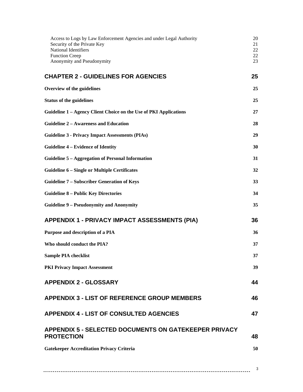| Access to Logs by Law Enforcement Agencies and under Legal Authority<br>Security of the Private Key<br>National Identifiers<br><b>Function Creep</b><br>Anonymity and Pseudonymity | 20<br>21<br>22<br>22<br>23 |
|------------------------------------------------------------------------------------------------------------------------------------------------------------------------------------|----------------------------|
| <b>CHAPTER 2 - GUIDELINES FOR AGENCIES</b>                                                                                                                                         | 25                         |
| Overview of the guidelines                                                                                                                                                         | 25                         |
| <b>Status of the guidelines</b>                                                                                                                                                    | 25                         |
| Guideline 1 – Agency Client Choice on the Use of PKI Applications                                                                                                                  | 27                         |
| <b>Guideline 2 - Awareness and Education</b>                                                                                                                                       | 28                         |
| <b>Guideline 3 - Privacy Impact Assessments (PIAs)</b>                                                                                                                             | 29                         |
| <b>Guideline 4 – Evidence of Identity</b>                                                                                                                                          | 30                         |
| Guideline 5 – Aggregation of Personal Information                                                                                                                                  | 31                         |
| <b>Guideline 6 – Single or Multiple Certificates</b>                                                                                                                               | 32                         |
| <b>Guideline 7 – Subscriber Generation of Keys</b>                                                                                                                                 | 33                         |
| <b>Guideline 8 - Public Key Directories</b>                                                                                                                                        | 34                         |
| <b>Guideline 9 - Pseudonymity and Anonymity</b>                                                                                                                                    | 35                         |
| <b>APPENDIX 1 - PRIVACY IMPACT ASSESSMENTS (PIA)</b>                                                                                                                               | 36                         |
| Purpose and description of a PIA                                                                                                                                                   | 36                         |
| Who should conduct the PIA?                                                                                                                                                        | 37                         |
| <b>Sample PIA checklist</b>                                                                                                                                                        | 37                         |
| <b>PKI Privacy Impact Assessment</b>                                                                                                                                               | 39                         |
| <b>APPENDIX 2 - GLOSSARY</b>                                                                                                                                                       | 44                         |
| <b>APPENDIX 3 - LIST OF REFERENCE GROUP MEMBERS</b>                                                                                                                                | 46                         |
| <b>APPENDIX 4 - LIST OF CONSULTED AGENCIES</b>                                                                                                                                     | 47                         |
| <b>APPENDIX 5 - SELECTED DOCUMENTS ON GATEKEEPER PRIVACY</b><br><b>PROTECTION</b>                                                                                                  | 48                         |
| <b>Gatekeeper Accreditation Privacy Criteria</b>                                                                                                                                   | 50                         |
|                                                                                                                                                                                    |                            |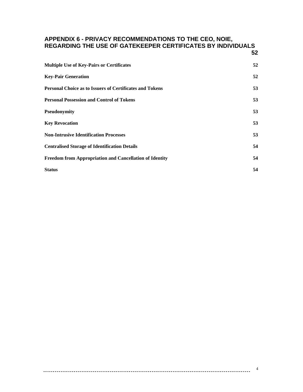#### **[APPENDIX 6 - PRIVACY RECOMMENDATIONS TO THE CEO, NOIE,](#page-51-0)  [REGARDING THE USE OF GATEKEEPER CERTIFICATES BY INDIVIDUALS](#page-51-0)**

| <b>Multiple Use of Key-Pairs or Certificates</b>                | 52 |
|-----------------------------------------------------------------|----|
| <b>Key-Pair Generation</b>                                      | 52 |
| <b>Personal Choice as to Issuers of Certificates and Tokens</b> | 53 |
| <b>Personal Possession and Control of Tokens</b>                | 53 |
| <b>Pseudonymity</b>                                             | 53 |
| <b>Key Revocation</b>                                           | 53 |
| <b>Non-Intrusive Identification Processes</b>                   | 53 |
| <b>Centralised Storage of Identification Details</b>            | 54 |
| Freedom from Appropriation and Cancellation of Identity         | 54 |
| <b>Status</b>                                                   | 54 |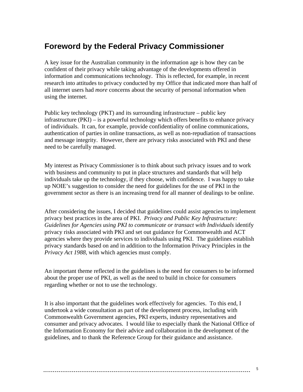### <span id="page-4-0"></span>**Foreword by the Federal Privacy Commissioner**

A key issue for the Australian community in the information age is how they can be confident of their privacy while taking advantage of the developments offered in information and communications technology. This is reflected, for example, in recent research into attitudes to privacy conducted by my Office that indicated more than half of all internet users had *more* concerns about the security of personal information when using the internet.

Public key technology (PKT) and its surrounding infrastructure – public key infrastructure (PKI) – is a powerful technology which offers benefits to enhance privacy of individuals. It can, for example, provide confidentiality of online communications, authentication of parties in online transactions, as well as non-repudiation of transactions and message integrity. However, there are privacy risks associated with PKI and these need to be carefully managed.

My interest as Privacy Commissioner is to think about such privacy issues and to work with business and community to put in place structures and standards that will help individuals take up the technology, if they choose, with confidence. I was happy to take up NOIE's suggestion to consider the need for guidelines for the use of PKI in the government sector as there is an increasing trend for all manner of dealings to be online.

After considering the issues, I decided that guidelines could assist agencies to implement privacy best practices in the area of PKI. *Privacy and Public Key Infrastructure: Guidelines for Agencies using PKI to communicate or transact with Individuals* identify privacy risks associated with PKI and set out guidance for Commonwealth and ACT agencies where they provide services to individuals using PKI. The guidelines establish privacy standards based on and in addition to the Information Privacy Principles in the *Privacy Act 1988*, with which agencies must comply.

An important theme reflected in the guidelines is the need for consumers to be informed about the proper use of PKI, as well as the need to build in choice for consumers regarding whether or not to use the technology.

It is also important that the guidelines work effectively for agencies. To this end, I undertook a wide consultation as part of the development process, including with Commonwealth Government agencies, PKI experts, industry representatives and consumer and privacy advocates. I would like to especially thank the National Office of the Information Economy for their advice and collaboration in the development of the guidelines, and to thank the Reference Group for their guidance and assistance.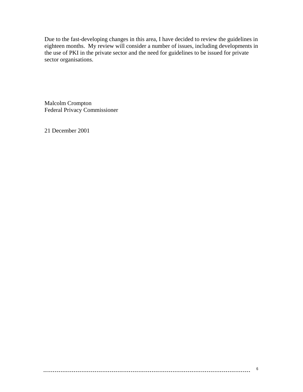Due to the fast-developing changes in this area, I have decided to review the guidelines in eighteen months. My review will consider a number of issues, including developments in the use of PKI in the private sector and the need for guidelines to be issued for private sector organisations.

Malcolm Crompton Federal Privacy Commissioner

21 December 2001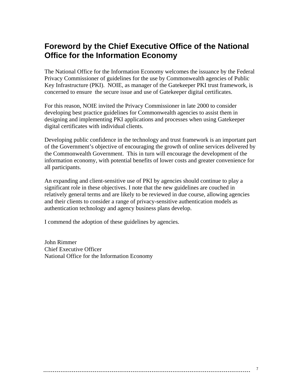### <span id="page-6-0"></span>**Foreword by the Chief Executive Office of the National Office for the Information Economy**

The National Office for the Information Economy welcomes the issuance by the Federal Privacy Commissioner of guidelines for the use by Commonwealth agencies of Public Key Infrastructure (PKI). NOIE, as manager of the Gatekeeper PKI trust framework, is concerned to ensure the secure issue and use of Gatekeeper digital certificates.

For this reason, NOIE invited the Privacy Commissioner in late 2000 to consider developing best practice guidelines for Commonwealth agencies to assist them in designing and implementing PKI applications and processes when using Gatekeeper digital certificates with individual clients.

Developing public confidence in the technology and trust framework is an important part of the Government's objective of encouraging the growth of online services delivered by the Commonwealth Government. This in turn will encourage the development of the information economy, with potential benefits of lower costs and greater convenience for all participants.

An expanding and client-sensitive use of PKI by agencies should continue to play a significant role in these objectives. I note that the new guidelines are couched in relatively general terms and are likely to be reviewed in due course, allowing agencies and their clients to consider a range of privacy-sensitive authentication models as authentication technology and agency business plans develop.

I commend the adoption of these guidelines by agencies.

John Rimmer Chief Executive Officer National Office for the Information Economy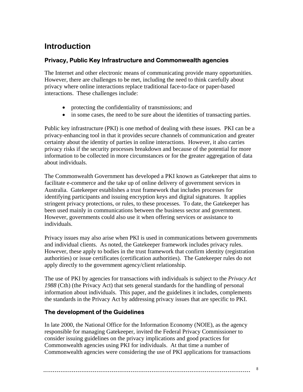## <span id="page-7-0"></span>**Introduction**

#### **Privacy, Public Key Infrastructure and Commonwealth agencies**

The Internet and other electronic means of communicating provide many opportunities. However, there are challenges to be met, including the need to think carefully about privacy where online interactions replace traditional face-to-face or paper-based interactions. These challenges include:

- protecting the confidentiality of transmissions; and
- in some cases, the need to be sure about the identities of transacting parties.

Public key infrastructure (PKI) is one method of dealing with these issues. PKI can be a privacy-enhancing tool in that it provides secure channels of communication and greater certainty about the identity of parties in online interactions. However, it also carries privacy risks if the security processes breakdown and because of the potential for more information to be collected in more circumstances or for the greater aggregation of data about individuals.

The Commonwealth Government has developed a PKI known as Gatekeeper that aims to facilitate e-commerce and the take up of online delivery of government services in Australia. Gatekeeper establishes a trust framework that includes processes for identifying participants and issuing encryption keys and digital signatures. It applies stringent privacy protections, or rules, to these processes. To date, the Gatekeeper has been used mainly in communications between the business sector and government. However, governments could also use it when offering services or assistance to individuals.

Privacy issues may also arise when PKI is used in communications between governments and individual clients. As noted, the Gatekeeper framework includes privacy rules. However, these apply to bodies in the trust framework that confirm identity (registration authorities) or issue certificates (certification authorities). The Gatekeeper rules do not apply directly to the government agency/client relationship.

The use of PKI by agencies for transactions with individuals is subject to the *Privacy Act 1988* (Cth) (the Privacy Act) that sets general standards for the handling of personal information about individuals. This paper, and the guidelines it includes, complements the standards in the Privacy Act by addressing privacy issues that are specific to PKI.

#### **The development of the Guidelines**

In late 2000, the National Office for the Information Economy (NOIE), as the agency responsible for managing Gatekeeper, invited the Federal Privacy Commissioner to consider issuing guidelines on the privacy implications and good practices for Commonwealth agencies using PKI for individuals. At that time a number of Commonwealth agencies were considering the use of PKI applications for transactions

####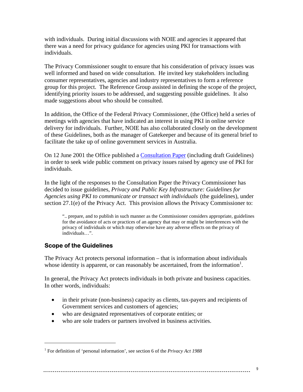<span id="page-8-0"></span>with individuals. During initial discussions with NOIE and agencies it appeared that there was a need for privacy guidance for agencies using PKI for transactions with individuals.

The Privacy Commissioner sought to ensure that his consideration of privacy issues was well informed and based on wide consultation. He invited key stakeholders including consumer representatives, agencies and industry representatives to form a reference group for this project. The Reference Group assisted in defining the scope of the project, identifying priority issues to be addressed, and suggesting possible guidelines. It also made suggestions about who should be consulted.

In addition, the Office of the Federal Privacy Commissioner, (the Office) held a series of meetings with agencies that have indicated an interest in using PKI in online service delivery for individuals. Further, NOIE has also collaborated closely on the development of these Guidelines, both as the manager of Gatekeeper and because of its general brief to facilitate the take up of online government services in Australia.

On 12 June 2001 the Office published a Consultation Paper (including draft Guidelines) in order to seek wide public comment on privacy issues raised by agency use of PKI for individuals.

In the light of the responses to the Consultation Paper the Privacy Commissioner has decided to issue guidelines, *Privacy and Public Key Infrastructure: Guidelines for Agencies using PKI to communicate or transact with individuals* (the guidelines), under section 27.1(e) of the Privacy Act. This provision allows the Privacy Commissioner to:

".. prepare, and to publish in such manner as the Commissioner considers appropriate, guidelines for the avoidance of acts or practices of an agency that may or might be interferences with the privacy of individuals or which may otherwise have any adverse effects on the privacy of individuals…".

#### **Scope of the Guidelines**

 $\overline{a}$ 

The Privacy Act protects personal information – that is information about individuals whose identity is apparent, or can reasonably be ascertained, from the information<sup>[1](#page-8-1)</sup>.

In general, the Privacy Act protects individuals in both private and business capacities. In other words, individuals:

- in their private (non-business) capacity as clients, tax-payers and recipients of Government services and customers of agencies;
- who are designated representatives of corporate entities; or
- who are sole traders or partners involved in business activities.

#### 

<span id="page-8-1"></span><sup>&</sup>lt;sup>1</sup> For definition of 'personal information', see section 6 of the *Privacy Act 1988*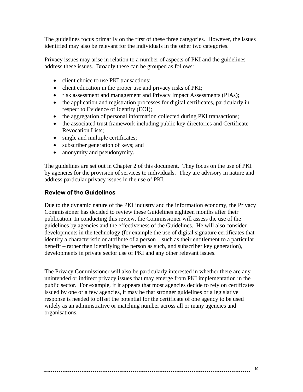<span id="page-9-0"></span>The guidelines focus primarily on the first of these three categories. However, the issues identified may also be relevant for the individuals in the other two categories.

Privacy issues may arise in relation to a number of aspects of PKI and the guidelines address these issues. Broadly these can be grouped as follows:

- client choice to use PKI transactions;
- client education in the proper use and privacy risks of PKI;
- risk assessment and management and Privacy Impact Assessments (PIAs);
- the application and registration processes for digital certificates, particularly in respect to Evidence of Identity (EOI);
- the aggregation of personal information collected during PKI transactions;
- the associated trust framework including public key directories and Certificate Revocation Lists;
- single and multiple certificates;
- subscriber generation of keys; and
- anonymity and pseudonymity.

The guidelines are set out in Chapter 2 of this document. They focus on the use of PKI by agencies for the provision of services to individuals. They are advisory in nature and address particular privacy issues in the use of PKI.

#### **Review of the Guidelines**

Due to the dynamic nature of the PKI industry and the information economy, the Privacy Commissioner has decided to review these Guidelines eighteen months after their publication. In conducting this review, the Commissioner will assess the use of the guidelines by agencies and the effectiveness of the Guidelines. He will also consider developments in the technology (for example the use of digital signature certificates that identify a characteristic or attribute of a person – such as their entitlement to a particular benefit – rather then identifying the person as such, and subscriber key generation), developments in private sector use of PKI and any other relevant issues.

The Privacy Commissioner will also be particularly interested in whether there are any unintended or indirect privacy issues that may emerge from PKI implementation in the public sector. For example, if it appears that most agencies decide to rely on certificates issued by one or a few agencies, it may be that stronger guidelines or a legislative response is needed to offset the potential for the certificate of one agency to be used widely as an administrative or matching number across all or many agencies and organisations.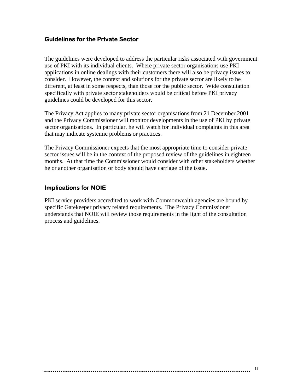#### <span id="page-10-0"></span>**Guidelines for the Private Sector**

The guidelines were developed to address the particular risks associated with government use of PKI with its individual clients. Where private sector organisations use PKI applications in online dealings with their customers there will also be privacy issues to consider. However, the context and solutions for the private sector are likely to be different, at least in some respects, than those for the public sector. Wide consultation specifically with private sector stakeholders would be critical before PKI privacy guidelines could be developed for this sector.

The Privacy Act applies to many private sector organisations from 21 December 2001 and the Privacy Commissioner will monitor developments in the use of PKI by private sector organisations. In particular, he will watch for individual complaints in this area that may indicate systemic problems or practices.

The Privacy Commissioner expects that the most appropriate time to consider private sector issues will be in the context of the proposed review of the guidelines in eighteen months. At that time the Commissioner would consider with other stakeholders whether he or another organisation or body should have carriage of the issue.

#### **Implications for NOIE**

PKI service providers accredited to work with Commonwealth agencies are bound by specific Gatekeeper privacy related requirements. The Privacy Commissioner understands that NOIE will review those requirements in the light of the consultation process and guidelines.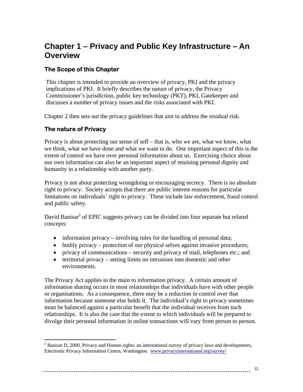### <span id="page-11-0"></span>**Chapter 1 – Privacy and Public Key Infrastructure – An Overview**

#### **The Scope of this Chapter**

This chapter is intended to provide an overview of privacy, PKI and the privacy implications of PKI. It briefly describes the nature of privacy, the Privacy Commissioner's jurisdiction, public key technology (PKT), PKI, Gatekeeper and discusses a number of privacy issues and the risks associated with PKI.

Chapter 2 then sets out the privacy guidelines that aim to address the residual risk.

#### **The nature of Privacy**

<u>.</u>

Privacy is about protecting our sense of self – that is, who we are, what we know, what we think, what we have done and what we want to do. One important aspect of this is the extent of control we have over personal information about us. Exercising choice about our own information can also be an important aspect of retaining personal dignity and humanity in a relationship with another party.

Privacy is not about protecting wrongdoing or encouraging secrecy. There is no absolute right to privacy. Society accepts that there are public interest reasons for particular limitations on individuals' right to privacy. These include law enforcement, fraud control and public safety.

David Banisar<sup>[2](#page-11-1)</sup> of EPIC suggests privacy can be divided into four separate but related concepts:

- information privacy involving rules for the handling of personal data;
- bodily privacy protection of our physical selves against invasive procedures;
- privacy of communications security and privacy of mail, telephones etc.; and
- territorial privacy setting limits on intrusions into domestic and other environments.

The Privacy Act applies in the main to information privacy. A certain amount of information sharing occurs in most relationships that individuals have with other people or organisations. As a consequence, there may be a reduction in control over that information because someone else holds it. The individual's right to privacy sometimes must be balanced against a particular benefit that the individual receives from such relationships. It is also the case that the extent to which individuals will be prepared to divulge their personal information in online transactions will vary from person to person.

<span id="page-11-1"></span> $2^2$  Banisar D, 2000, Privacy and Human rights: an international survey of privacy laws and developments, Electronic Privacy Information Centre, Washington. [www.privacyinternational.org/survey/](http://www.privacyinternational.org/survey/)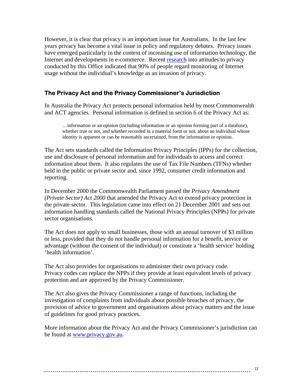<span id="page-12-0"></span>However, it is clear that privacy is an important issue for Australians. In the last few years privacy has become a vital issue in policy and regulatory debates. Privacy issues have emerged particularly in the context of increasing use of information technology, the Internet and developments in e-commerce. Recent [research](http://www.privacy.gov.au/research/index.html) into attitudes to privacy conducted by this Office indicated that 90% of people regard monitoring of Internet usage without the individual's knowledge as an invasion of privacy.

#### **The Privacy Act and the Privacy Commissioner's Jurisdiction**

In Australia the Privacy Act protects personal information held by most Commonwealth and ACT agencies. Personal information is defined in section 6 of the Privacy Act as:

…information or an opinion (including information or an opinion forming part of a database), whether true or not, and whether recorded in a material form or not, about an individual whose identity is apparent or can be reasonably ascertained, from the information or opinion.

The Act sets standards called the Information Privacy Principles (IPPs) for the collection, use and disclosure of personal information and for individuals to access and correct information about them. It also regulates the use of Tax File Numbers (TFNs) whether held in the public or private sector and, since 1992, consumer credit information and reporting.

In December 2000 the Commonwealth Parliament passed the *Privacy Amendment (Private Sector) Act 2000* that amended the Privacy Act to extend privacy protection in the private sector.This legislation came into effect on 21 December 2001 and sets out information handling standards called the National Privacy Principles (NPPs) for private sector organisations.

The Act does not apply to small businesses, those with an annual turnover of \$3 million or less, provided that they do not handle personal information for a benefit, service or advantage (without the consent of the individual) or constitute a 'health service' holding 'health information'.

The Act also provides for organisations to administer their own privacy code. Privacy codes can replace the NPPs if they provide at least equivalent levels of privacy protection and are approved by the Privacy Commissioner.

The Act also gives the Privacy Commissioner a range of functions, including the investigation of complaints from individuals about possible breaches of privacy, the provision of advice to government and organisations about privacy matters and the issue of guidelines for good privacy practices.

More information about the Privacy Act and the Privacy Commissioner's jurisdiction can be found at [www.privacy.gov.au](http://www.privacy.gov.au/).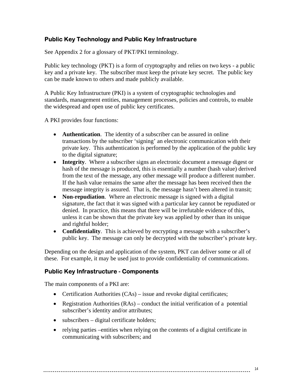#### <span id="page-13-0"></span>**Public Key Technology and Public Key Infrastructure**

See Appendix 2 for a glossary of PKT/PKI terminology.

Public key technology (PKT) is a form of cryptography and relies on two keys - a public key and a private key. The subscriber must keep the private key secret. The public key can be made known to others and made publicly available.

A Public Key Infrastructure (PKI) is a system of cryptographic technologies and standards, management entities, management processes, policies and controls, to enable the widespread and open use of public key certificates.

A PKI provides four functions:

- **Authentication**. The identity of a subscriber can be assured in online transactions by the subscriber 'signing' an electronic communication with their private key. This authentication is performed by the application of the public key to the digital signature;
- **Integrity**. Where a subscriber signs an electronic document a message digest or hash of the message is produced, this is essentially a number (hash value) derived from the text of the message, any other message will produce a different number. If the hash value remains the same after the message has been received then the message integrity is assured. That is, the message hasn't been altered in transit;
- **Non-repudiation**. Where an electronic message is signed with a digital signature, the fact that it was signed with a particular key cannot be repudiated or denied. In practice, this means that there will be irrefutable evidence of this, unless it can be shown that the private key was applied by other than its unique and rightful holder;
- **Confidentiality**. This is achieved by encrypting a message with a subscriber's public key. The message can only be decrypted with the subscriber's private key.

Depending on the design and application of the system, PKT can deliver some or all of these. For example, it may be used just to provide confidentiality of communications.

#### **Public Key Infrastructure - Components**

The main components of a PKI are:

- Certification Authorities (CAs) issue and revoke digital certificates;
- Registration Authorities (RAs) conduct the initial verification of a potential subscriber's identity and/or attributes;
- subscribers digital certificate holders;
- relying parties –entities when relying on the contents of a digital certificate in communicating with subscribers; and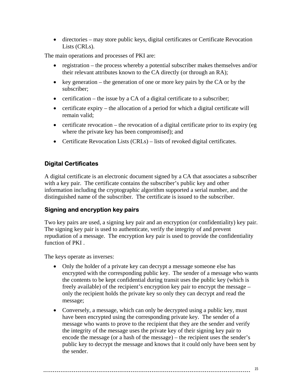<span id="page-14-0"></span>• directories – may store public keys, digital certificates or Certificate Revocation Lists (CRLs).

The main operations and processes of PKI are:

- registration the process whereby a potential subscriber makes themselves and/or their relevant attributes known to the CA directly (or through an RA);
- key generation the generation of one or more key pairs by the CA or by the subscriber;
- certification the issue by a CA of a digital certificate to a subscriber;
- certificate expiry the allocation of a period for which a digital certificate will remain valid;
- certificate revocation the revocation of a digital certificate prior to its expiry (eg) where the private key has been compromised); and
- Certificate Revocation Lists (CRLs) lists of revoked digital certificates.

#### **Digital Certificates**

A digital certificate is an electronic document signed by a CA that associates a subscriber with a key pair. The certificate contains the subscriber's public key and other information including the cryptographic algorithm supported a serial number, and the distinguished name of the subscriber. The certificate is issued to the subscriber.

#### **Signing and encryption key pairs**

Two key pairs are used, a signing key pair and an encryption (or confidentiality) key pair. The signing key pair is used to authenticate, verify the integrity of and prevent repudiation of a message. The encryption key pair is used to provide the confidentiality function of PKI .

The keys operate as inverses:

- Only the holder of a private key can decrypt a message someone else has encrypted with the corresponding public key. The sender of a message who wants the contents to be kept confidential during transit uses the public key (which is freely available) of the recipient's encryption key pair to encrypt the message – only the recipient holds the private key so only they can decrypt and read the message;
- Conversely, a message, which can only be decrypted using a public key, must have been encrypted using the corresponding private key. The sender of a message who wants to prove to the recipient that they are the sender and verify the integrity of the message uses the private key of their signing key pair to encode the message (or a hash of the message) – the recipient uses the sender's public key to decrypt the message and knows that it could only have been sent by the sender.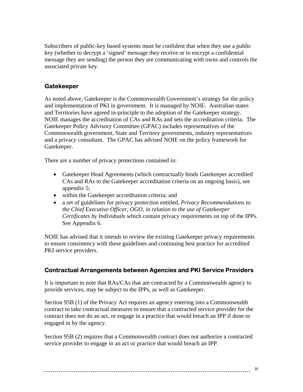<span id="page-15-0"></span>Subscribers of public-key based systems must be confident that when they use a public key (whether to decrypt a 'signed' message they receive or to encrypt a confidential message they are sending) the person they are communicating with owns and controls the associated private key.

#### **Gatekeeper**

As noted above, Gatekeeper is the Commonwealth Government's strategy for the policy and implementation of PKI in government. It is managed by NOIE. Australian states and Territories have agreed in-principle to the adoption of the Gatekeeper strategy. NOIE manages the accreditation of CAs and RAs and sets the accreditation criteria. The Gatekeeper Policy Advisory Committee (GPAC) includes representatives of the Commonwealth government, State and Territory governments, industry representatives and a privacy consultant. The GPAC has advised NOIE on the policy framework for Gatekeeper.

There are a number of privacy protections contained in:

- Gatekeeper Head Agreements (which contractually binds Gatekeeper accredited CAs and RAs to the Gatekeeper accreditation criteria on an ongoing basis), see appendix 5;
- within the Gatekeeper accreditation criteria; and
- a set of guidelines for privacy protection entitled, *Privacy Recommendations to the Chief Executive Officer, OGO, in relation to the use of Gatekeeper Certificates by Individuals* which contain privacy requirements on top of the IPPs. See Appendix 6.

NOIE has advised that it intends to review the existing Gatekeeper privacy requirements to ensure consistency with these guidelines and continuing best practice for accredited PKI service providers.

#### **Contractual Arrangements between Agencies and PKI Service Providers**

It is important to note that RAs/CAs that are contracted by a Commonwealth agency to provide services, may be subject to the IPPs, as well as Gatekeeper.

Section 95B (1) of the Privacy Act requires an agency entering into a Commonwealth contract to take contractual measures to ensure that a contracted service provider for the contract does not do an act, or engage in a practice that would breach an IPP if done or engaged in by the agency.

Section 95B (2) requires that a Commonwealth contract does not authorize a contracted service provider to engage in an act or practice that would breach an IPP.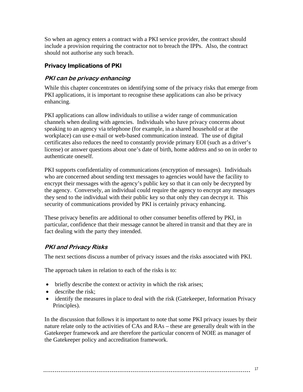<span id="page-16-0"></span>So when an agency enters a contract with a PKI service provider, the contract should include a provision requiring the contractor not to breach the IPPs. Also, the contract should not authorise any such breach.

#### **Privacy Implications of PKI**

#### **PKI can be privacy enhancing**

While this chapter concentrates on identifying some of the privacy risks that emerge from PKI applications, it is important to recognise these applications can also be privacy enhancing.

PKI applications can allow individuals to utilise a wider range of communication channels when dealing with agencies. Individuals who have privacy concerns about speaking to an agency via telephone (for example, in a shared household or at the workplace) can use e-mail or web-based communication instead. The use of digital certificates also reduces the need to constantly provide primary EOI (such as a driver's license) or answer questions about one's date of birth, home address and so on in order to authenticate oneself.

PKI supports confidentiality of communications (encryption of messages). Individuals who are concerned about sending text messages to agencies would have the facility to encrypt their messages with the agency's public key so that it can only be decrypted by the agency. Conversely, an individual could require the agency to encrypt any messages they send to the individual with their public key so that only they can decrypt it. This security of communications provided by PKI is certainly privacy enhancing.

These privacy benefits are additional to other consumer benefits offered by PKI, in particular, confidence that their message cannot be altered in transit and that they are in fact dealing with the party they intended.

#### **PKI and Privacy Risks**

The next sections discuss a number of privacy issues and the risks associated with PKI.

The approach taken in relation to each of the risks is to:

- briefly describe the context or activity in which the risk arises;
- describe the risk;
- identify the measures in place to deal with the risk (Gatekeeper, Information Privacy Principles).

In the discussion that follows it is important to note that some PKI privacy issues by their nature relate only to the activities of CAs and RAs – these are generally dealt with in the Gatekeeper framework and are therefore the particular concern of NOIE as manager of the Gatekeeper policy and accreditation framework.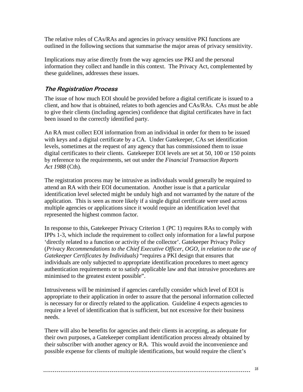<span id="page-17-0"></span>The relative roles of CAs/RAs and agencies in privacy sensitive PKI functions are outlined in the following sections that summarise the major areas of privacy sensitivity.

Implications may arise directly from the way agencies use PKI and the personal information they collect and handle in this context. The Privacy Act, complemented by these guidelines, addresses these issues.

#### **The Registration Process**

The issue of how much EOI should be provided before a digital certificate is issued to a client, and how that is obtained, relates to both agencies and CAs/RAs. CAs must be able to give their clients (including agencies) confidence that digital certificates have in fact been issued to the correctly identified party.

An RA must collect EOI information from an individual in order for them to be issued with keys and a digital certificate by a CA. Under Gatekeeper, CAs set identification levels, sometimes at the request of any agency that has commissioned them to issue digital certificates to their clients. Gatekeeper EOI levels are set at 50, 100 or 150 points by reference to the requirements, set out under the *Financial Transaction Reports Act 1988* (Cth).

The registration process may be intrusive as individuals would generally be required to attend an RA with their EOI documentation. Another issue is that a particular identification level selected might be unduly high and not warranted by the nature of the application. This is seen as more likely if a single digital certificate were used across multiple agencies or applications since it would require an identification level that represented the highest common factor.

In response to this, Gatekeeper Privacy Criterion 1 (PC 1) requires RAs to comply with IPPs 1-3, which include the requirement to collect only information for a lawful purpose 'directly related to a function or activity of the collector'. Gatekeeper Privacy Policy (*Privacy Recommendations to the Chief Executive Officer, OGO, in relation to the use of Gatekeeper Certificates by Individuals)* "requires a PKI design that ensures that individuals are only subjected to appropriate identification procedures to meet agency authentication requirements or to satisfy applicable law and that intrusive procedures are minimised to the greatest extent possible".

Intrusiveness will be minimised if agencies carefully consider which level of EOI is appropriate to their application in order to assure that the personal information collected is necessary for or directly related to the application. Guideline 4 expects agencies to require a level of identification that is sufficient, but not excessive for their business needs.

There will also be benefits for agencies and their clients in accepting, as adequate for their own purposes, a Gatekeeper compliant identification process already obtained by their subscriber with another agency or RA. This would avoid the inconvenience and possible expense for clients of multiple identifications, but would require the client's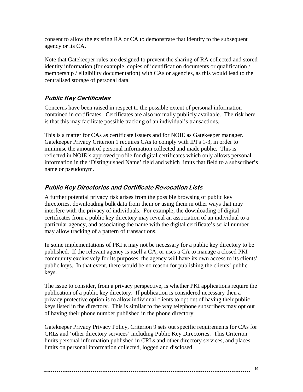<span id="page-18-0"></span>consent to allow the existing RA or CA to demonstrate that identity to the subsequent agency or its CA.

Note that Gatekeeper rules are designed to prevent the sharing of RA collected and stored identity information (for example, copies of identification documents or qualification / membership / eligibility documentation) with CAs or agencies, as this would lead to the centralised storage of personal data.

#### **Public Key Certificates**

Concerns have been raised in respect to the possible extent of personal information contained in certificates. Certificates are also normally publicly available. The risk here is that this may facilitate possible tracking of an individual's transactions.

This is a matter for CAs as certificate issuers and for NOIE as Gatekeeper manager. Gatekeeper Privacy Criterion 1 requires CAs to comply with IPPs 1-3, in order to minimise the amount of personal information collected and made public. This is reflected in NOIE's approved profile for digital certificates which only allows personal information in the 'Distinguished Name' field and which limits that field to a subscriber's name or pseudonym.

#### **Public Key Directories and Certificate Revocation Lists**

A further potential privacy risk arises from the possible browsing of public key directories, downloading bulk data from them or using them in other ways that may interfere with the privacy of individuals. For example, the downloading of digital certificates from a public key directory may reveal an association of an individual to a particular agency, and associating the name with the digital certificate's serial number may allow tracking of a pattern of transactions.

In some implementations of PKI it may not be necessary for a public key directory to be published. If the relevant agency is itself a CA, or uses a CA to manage a closed PKI community exclusively for its purposes, the agency will have its own access to its clients' public keys. In that event, there would be no reason for publishing the clients' public keys.

The issue to consider, from a privacy perspective, is whether PKI applications require the publication of a public key directory. If publication is considered necessary then a privacy protective option is to allow individual clients to opt out of having their public keys listed in the directory. This is similar to the way telephone subscribers may opt out of having their phone number published in the phone directory.

Gatekeeper Privacy Privacy Policy, Criterion 9 sets out specific requirements for CAs for CRLs and 'other directory services' including Public Key Directories. This Criterion limits personal information published in CRLs and other directory services, and places limits on personal information collected, logged and disclosed.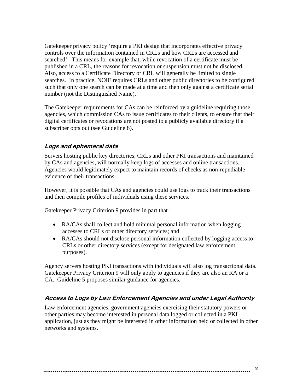<span id="page-19-0"></span>Gatekeeper privacy policy 'require a PKI design that incorporates effective privacy controls over the information contained in CRLs and how CRLs are accessed and searched'. This means for example that, while revocation of a certificate must be published in a CRL, the reasons for revocation or suspension must not be disclosed. Also, access to a Certificate Directory or CRL will generally be limited to single searches. In practice, NOIE requires CRLs and other public directories to be configured such that only one search can be made at a time and then only against a certificate serial number (not the Distinguished Name).

The Gatekeeper requirements for CAs can be reinforced by a guideline requiring those agencies, which commission CAs to issue certificates to their clients, to ensure that their digital certificates or revocations are not posted to a publicly available directory if a subscriber opts out (see Guideline 8).

#### **Logs and ephemeral data**

Servers hosting public key directories, CRLs and other PKI transactions and maintained by CAs and agencies, will normally keep logs of accesses and online transactions. Agencies would legitimately expect to maintain records of checks as non-repudiable evidence of their transactions.

However, it is possible that CAs and agencies could use logs to track their transactions and then compile profiles of individuals using these services.

Gatekeeper Privacy Criterion 9 provides in part that :

- RA/CAs shall collect and hold minimal personal information when logging accesses to CRLs or other directory services; and
- RA/CAs should not disclose personal information collected by logging access to CRLs or other directory services (except for designated law enforcement purposes).

Agency servers hosting PKI transactions with individuals will also log transactional data. Gatekeeper Privacy Criterion 9 will only apply to agencies if they are also an RA or a CA. Guideline 5 proposes similar guidance for agencies.

#### **Access to Logs by Law Enforcement Agencies and under Legal Authority**

Law enforcement agencies, government agencies exercising their statutory powers or other parties may become interested in personal data logged or collected in a PKI application, just as they might be interested in other information held or collected in other networks and systems.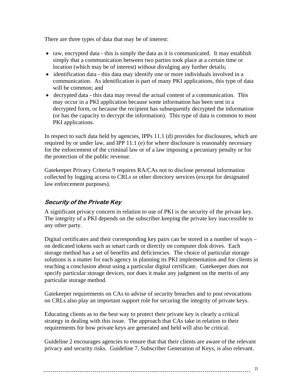<span id="page-20-0"></span>There are three types of data that may be of interest:

- raw, encrypted data this is simply the data as it is communicated. It may establish simply that a communication between two parties took place at a certain time or location (which may be of interest) without divulging any further details;
- identification data this data may identify one or more individuals involved in a communication. As identification is part of many PKI applications, this type of data will be common; and
- decrypted data this data may reveal the actual content of a communication. This may occur in a PKI application because some information has been sent in a decrypted form, or because the recipient has subsequently decrypted the information (or has the capacity to decrypt the information). This type of data is common to most PKI applications.

In respect to such data held by agencies, IPPs 11.1 (d) provides for disclosures, which are required by or under law, and IPP 11.1 (e) for where disclosure is reasonably necessary for the enforcement of the criminal law or of a law imposing a pecuniary penalty or for the protection of the public revenue.

Gatekeeper Privacy Criteria 9 requires RA/CAs not to disclose personal information collected by logging access to CRLs or other directory services (except for designated law enforcement purposes).

### **Security of the Private Key**

A significant privacy concern in relation to use of PKI is the security of the private key. The integrity of a PKI depends on the subscriber keeping the private key inaccessible to any other party.

Digital certificates and their corresponding key pairs can be stored in a number of ways – on dedicated tokens such as smart cards or directly on computer disk drives. Each storage method has a set of benefits and deficiencies. The choice of particular storage solutions is a matter for each agency in planning its PKI implementation and for clients in reaching a conclusion about using a particular digital certificate. Gatekeeper does not specify particular storage devices, nor does it make any judgment on the merits of any particular storage method.

Gatekeeper requirements on CAs to advise of security breaches and to post revocations on CRLs also play an important support role for securing the integrity of private keys.

Educating clients as to the best way to protect their private key is clearly a critical strategy in dealing with this issue. The approach that CAs take in relation to their requirements for how private keys are generated and held will also be critical.

Guideline 2 encourages agencies to ensure that that their clients are aware of the relevant privacy and security risks. Guideline 7, Subscriber Generation of Keys, is also relevant.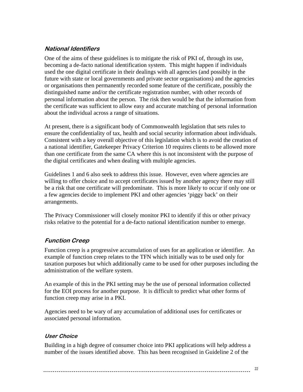#### <span id="page-21-0"></span>**National Identifiers**

One of the aims of these guidelines is to mitigate the risk of PKI of, through its use, becoming a de-facto national identification system. This might happen if individuals used the one digital certificate in their dealings with all agencies (and possibly in the future with state or local governments and private sector organisations) and the agencies or organisations then permanently recorded some feature of the certificate, possibly the distinguished name and/or the certificate registration number, with other records of personal information about the person. The risk then would be that the information from the certificate was sufficient to allow easy and accurate matching of personal information about the individual across a range of situations.

At present, there is a significant body of Commonwealth legislation that sets rules to ensure the confidentiality of tax, health and social security information about individuals. Consistent with a key overall objective of this legislation which is to avoid the creation of a national identifier, Gatekeeper Privacy Criterion 10 requires clients to be allowed more than one certificate from the same CA where this is not inconsistent with the purpose of the digital certificates and when dealing with multiple agencies.

Guidelines 1 and 6 also seek to address this issue. However, even where agencies are willing to offer choice and to accept certificates issued by another agency there may still be a risk that one certificate will predominate. This is more likely to occur if only one or a few agencies decide to implement PKI and other agencies 'piggy back' on their arrangements.

The Privacy Commissioner will closely monitor PKI to identify if this or other privacy risks relative to the potential for a de-facto national identification number to emerge.

### **Function Creep**

Function creep is a progressive accumulation of uses for an application or identifier. An example of function creep relates to the TFN which initially was to be used only for taxation purposes but which additionally came to be used for other purposes including the administration of the welfare system.

An example of this in the PKI setting may be the use of personal information collected for the EOI process for another purpose. It is difficult to predict what other forms of function creep may arise in a PKI.

Agencies need to be wary of any accumulation of additional uses for certificates or associated personal information.

#### **User Choice**

Building in a high degree of consumer choice into PKI applications will help address a number of the issues identified above. This has been recognised in Guideline 2 of the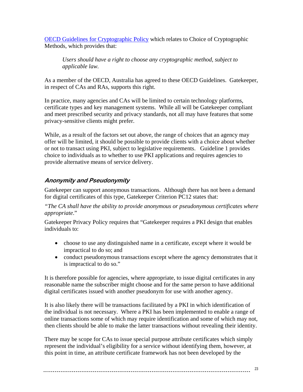<span id="page-22-0"></span>[OECD Guidelines for Cryptographic Policy](http://www1.oecd.org/dsti/sti/it/secur/prod/crypto2.htm) which relates to Choice of Cryptographic Methods, which provides that:

*Users should have a right to choose any cryptographic method, subject to applicable law.* 

As a member of the OECD, Australia has agreed to these OECD Guidelines. Gatekeeper, in respect of CAs and RAs, supports this right.

In practice, many agencies and CAs will be limited to certain technology platforms, certificate types and key management systems. While all will be Gatekeeper compliant and meet prescribed security and privacy standards, not all may have features that some privacy-sensitive clients might prefer.

While, as a result of the factors set out above, the range of choices that an agency may offer will be limited, it should be possible to provide clients with a choice about whether or not to transact using PKI, subject to legislative requirements. Guideline 1 provides choice to individuals as to whether to use PKI applications and requires agencies to provide alternative means of service delivery.

#### **Anonymity and Pseudonymity**

Gatekeeper can support anonymous transactions. Although there has not been a demand for digital certificates of this type, Gatekeeper Criterion PC12 states that:

*"The CA shall have the ability to provide anonymous or pseudonymous certificates where appropriate*."

Gatekeeper Privacy Policy requires that "Gatekeeper requires a PKI design that enables individuals to:

- choose to use any distinguished name in a certificate, except where it would be impractical to do so; and
- conduct pseudonymous transactions except where the agency demonstrates that it is impractical to do so."

It is therefore possible for agencies, where appropriate, to issue digital certificates in any reasonable name the subscriber might choose and for the same person to have additional digital certificates issued with another pseudonym for use with another agency.

It is also likely there will be transactions facilitated by a PKI in which identification of the individual is not necessary. Where a PKI has been implemented to enable a range of online transactions some of which may require identification and some of which may not, then clients should be able to make the latter transactions without revealing their identity.

There may be scope for CAs to issue special purpose attribute certificates which simply represent the individual's eligibility for a service without identifying them, however, at this point in time, an attribute certificate framework has not been developed by the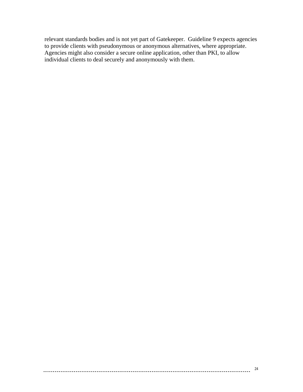relevant standards bodies and is not yet part of Gatekeeper. Guideline 9 expects agencies to provide clients with pseudonymous or anonymous alternatives, where appropriate. Agencies might also consider a secure online application, other than PKI, to allow individual clients to deal securely and anonymously with them.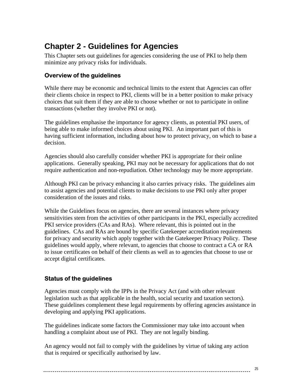# <span id="page-24-0"></span>**Chapter 2 - Guidelines for Agencies**

This Chapter sets out guidelines for agencies considering the use of PKI to help them minimize any privacy risks for individuals.

#### **Overview of the guidelines**

While there may be economic and technical limits to the extent that Agencies can offer their clients choice in respect to PKI, clients will be in a better position to make privacy choices that suit them if they are able to choose whether or not to participate in online transactions (whether they involve PKI or not).

The guidelines emphasise the importance for agency clients, as potential PKI users, of being able to make informed choices about using PKI. An important part of this is having sufficient information, including about how to protect privacy, on which to base a decision.

Agencies should also carefully consider whether PKI is appropriate for their online applications. Generally speaking, PKI may not be necessary for applications that do not require authentication and non-repudiation. Other technology may be more appropriate.

Although PKI can be privacy enhancing it also carries privacy risks. The guidelines aim to assist agencies and potential clients to make decisions to use PKI only after proper consideration of the issues and risks.

While the Guidelines focus on agencies, there are several instances where privacy sensitivities stem from the activities of other participants in the PKI, especially accredited PKI service providers (CAs and RAs). Where relevant, this is pointed out in the guidelines. CAs and RAs are bound by specific Gatekeeper accreditation requirements for privacy and security which apply together with the Gatekeeper Privacy Policy. These guidelines would apply, where relevant, to agencies that choose to contract a CA or RA to issue certificates on behalf of their clients as well as to agencies that choose to use or accept digital certificates.

#### **Status of the guidelines**

Agencies must comply with the IPPs in the Privacy Act (and with other relevant legislation such as that applicable in the health, social security and taxation sectors). These guidelines complement these legal requirements by offering agencies assistance in developing and applying PKI applications.

The guidelines indicate some factors the Commissioner may take into account when handling a complaint about use of PKI. They are not legally binding.

An agency would not fail to comply with the guidelines by virtue of taking any action that is required or specifically authorised by law.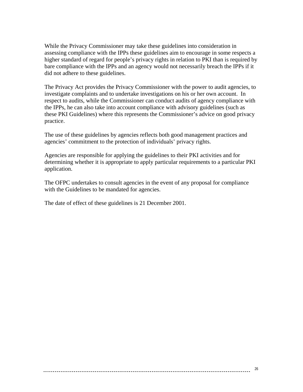While the Privacy Commissioner may take these guidelines into consideration in assessing compliance with the IPPs these guidelines aim to encourage in some respects a higher standard of regard for people's privacy rights in relation to PKI than is required by bare compliance with the IPPs and an agency would not necessarily breach the IPPs if it did not adhere to these guidelines.

The Privacy Act provides the Privacy Commissioner with the power to audit agencies, to investigate complaints and to undertake investigations on his or her own account. In respect to audits, while the Commissioner can conduct audits of agency compliance with the IPPs, he can also take into account compliance with advisory guidelines (such as these PKI Guidelines) where this represents the Commissioner's advice on good privacy practice.

The use of these guidelines by agencies reflects both good management practices and agencies' commitment to the protection of individuals' privacy rights.

Agencies are responsible for applying the guidelines to their PKI activities and for determining whether it is appropriate to apply particular requirements to a particular PKI application.

The OFPC undertakes to consult agencies in the event of any proposal for compliance with the Guidelines to be mandated for agencies.

The date of effect of these guidelines is 21 December 2001.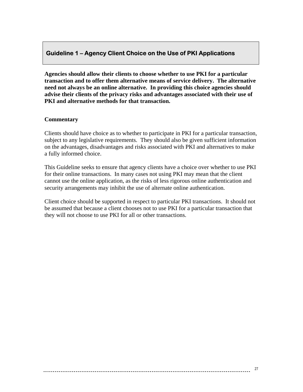#### <span id="page-26-0"></span> **Guideline 1 – Agency Client Choice on the Use of PKI Applications**

**Agencies should allow their clients to choose whether to use PKI for a particular transaction and to offer them alternative means of service delivery. The alternative need not always be an online alternative. In providing this choice agencies should advise their clients of the privacy risks and advantages associated with their use of PKI and alternative methods for that transaction.** 

#### **Commentary**

Clients should have choice as to whether to participate in PKI for a particular transaction, subject to any legislative requirements. They should also be given sufficient information on the advantages, disadvantages and risks associated with PKI and alternatives to make a fully informed choice.

This Guideline seeks to ensure that agency clients have a choice over whether to use PKI for their online transactions. In many cases not using PKI may mean that the client cannot use the online application, as the risks of less rigorous online authentication and security arrangements may inhibit the use of alternate online authentication.

Client choice should be supported in respect to particular PKI transactions. It should not be assumed that because a client chooses not to use PKI for a particular transaction that they will not choose to use PKI for all or other transactions.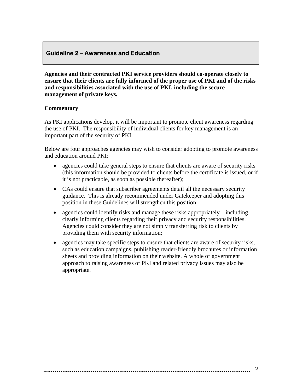#### <span id="page-27-0"></span> **Guideline 2 – Awareness and Education**

**Agencies and their contracted PKI service providers should co-operate closely to ensure that their clients are fully informed of the proper use of PKI and of the risks and responsibilities associated with the use of PKI, including the secure management of private keys.** 

#### **Commentary**

As PKI applications develop, it will be important to promote client awareness regarding the use of PKI. The responsibility of individual clients for key management is an important part of the security of PKI.

Below are four approaches agencies may wish to consider adopting to promote awareness and education around PKI:

- agencies could take general steps to ensure that clients are aware of security risks (this information should be provided to clients before the certificate is issued, or if it is not practicable, as soon as possible thereafter);
- CAs could ensure that subscriber agreements detail all the necessary security guidance. This is already recommended under Gatekeeper and adopting this position in these Guidelines will strengthen this position;
- agencies could identify risks and manage these risks appropriately including clearly informing clients regarding their privacy and security responsibilities. Agencies could consider they are not simply transferring risk to clients by providing them with security information;
- agencies may take specific steps to ensure that clients are aware of security risks, such as education campaigns, publishing reader-friendly brochures or information sheets and providing information on their website. A whole of government approach to raising awareness of PKI and related privacy issues may also be appropriate.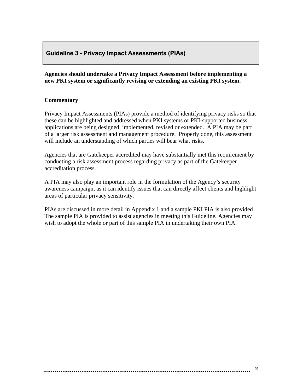#### <span id="page-28-0"></span> **Guideline 3 - Privacy Impact Assessments (PIAs)**

**Agencies should undertake a Privacy Impact Assessment before implementing a new PKI system or significantly revising or extending an existing PKI system.** 

#### **Commentary**

Privacy Impact Assessments (PIAs) provide a method of identifying privacy risks so that these can be highlighted and addressed when PKI systems or PKI-supported business applications are being designed, implemented, revised or extended. A PIA may be part of a larger risk assessment and management procedure. Properly done, this assessment will include an understanding of which parties will bear what risks.

Agencies that are Gatekeeper accredited may have substantially met this requirement by conducting a risk assessment process regarding privacy as part of the Gatekeeper accreditation process.

A PIA may also play an important role in the formulation of the Agency's security awareness campaign, as it can identify issues that can directly affect clients and highlight areas of particular privacy sensitivity.

PIAs are discussed in more detail in Appendix 1 and a sample PKI PIA is also provided The sample PIA is provided to assist agencies in meeting this Guideline. Agencies may wish to adopt the whole or part of this sample PIA in undertaking their own PIA.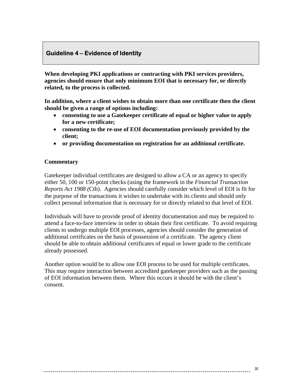#### <span id="page-29-0"></span> **Guideline 4 – Evidence of Identity**

**When developing PKI applications or contracting with PKI services providers, agencies should ensure that only minimum EOI that is necessary for, or directly related, to the process is collected.** 

**In addition, where a client wishes to obtain more than one certificate then the client should be given a range of options including:** 

- **consenting to use a Gatekeeper certificate of equal or higher value to apply for a new certificate;**
- **consenting to the re-use of EOI documentation previously provided by the client;**
- **or providing documentation on registration for an additional certificate.**

#### **Commentary**

Gatekeeper individual certificates are designed to allow a CA or an agency to specify either 50, 100 or 150-point checks (using the framework in the *Financial Transaction Reports Act 1988 (*Cth). Agencies should carefully consider which level of EOI is fit for the purpose of the transactions it wishes to undertake with its clients and should only collect personal information that is necessary for or directly related to that level of EOI.

Individuals will have to provide proof of identity documentation and may be required to attend a face-to-face interview in order to obtain their first certificate. To avoid requiring clients to undergo multiple EOI processes, agencies should consider the generation of additional certificates on the basis of possession of a certificate. The agency client should be able to obtain additional certificates of equal or lower grade to the certificate already possessed.

Another option would be to allow one EOI process to be used for multiple certificates. This may require interaction between accredited gatekeeper providers such as the passing of EOI information between them. Where this occurs it should be with the client's consent.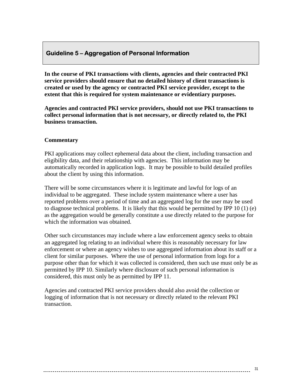#### <span id="page-30-0"></span> **Guideline 5 – Aggregation of Personal Information**

**In the course of PKI transactions with clients, agencies and their contracted PKI service providers should ensure that no detailed history of client transactions is created or used by the agency or contracted PKI service provider, except to the extent that this is required for system maintenance or evidentiary purposes.** 

**Agencies and contracted PKI service providers, should not use PKI transactions to collect personal information that is not necessary, or directly related to, the PKI business transaction.** 

#### **Commentary**

PKI applications may collect ephemeral data about the client, including transaction and eligibility data, and their relationship with agencies. This information may be automatically recorded in application logs. It may be possible to build detailed profiles about the client by using this information.

There will be some circumstances where it is legitimate and lawful for logs of an individual to be aggregated. These include system maintenance where a user has reported problems over a period of time and an aggregated log for the user may be used to diagnose technical problems. It is likely that this would be permitted by IPP 10 (1) (e) as the aggregation would be generally constitute a use directly related to the purpose for which the information was obtained.

Other such circumstances may include where a law enforcement agency seeks to obtain an aggregated log relating to an individual where this is reasonably necessary for law enforcement or where an agency wishes to use aggregated information about its staff or a client for similar purposes. Where the use of personal information from logs for a purpose other than for which it was collected is considered, then such use must only be as permitted by IPP 10. Similarly where disclosure of such personal information is considered, this must only be as permitted by IPP 11.

Agencies and contracted PKI service providers should also avoid the collection or logging of information that is not necessary or directly related to the relevant PKI transaction.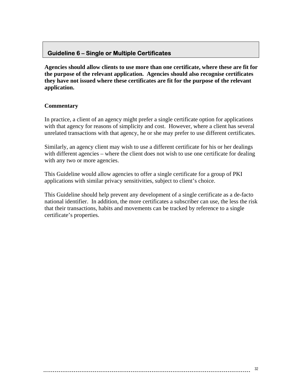#### <span id="page-31-0"></span> **Guideline 6 – Single or Multiple Certificates**

**Agencies should allow clients to use more than one certificate, where these are fit for the purpose of the relevant application. Agencies should also recognise certificates they have not issued where these certificates are fit for the purpose of the relevant application.** 

#### **Commentary**

In practice, a client of an agency might prefer a single certificate option for applications with that agency for reasons of simplicity and cost. However, where a client has several unrelated transactions with that agency, he or she may prefer to use different certificates.

Similarly, an agency client may wish to use a different certificate for his or her dealings with different agencies – where the client does not wish to use one certificate for dealing with any two or more agencies.

This Guideline would allow agencies to offer a single certificate for a group of PKI applications with similar privacy sensitivities, subject to client's choice.

This Guideline should help prevent any development of a single certificate as a de-facto national identifier. In addition, the more certificates a subscriber can use, the less the risk that their transactions, habits and movements can be tracked by reference to a single certificate's properties.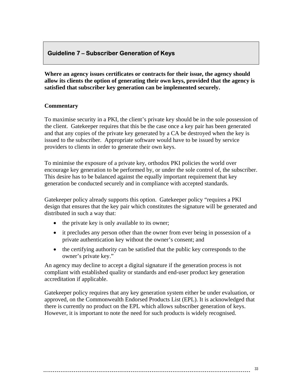#### <span id="page-32-0"></span> **Guideline 7 – Subscriber Generation of Keys**

**Where an agency issues certificates or contracts for their issue, the agency should allow its clients the option of generating their own keys, provided that the agency is satisfied that subscriber key generation can be implemented securely.** 

#### **Commentary**

To maximise security in a PKI, the client's private key should be in the sole possession of the client. Gatekeeper requires that this be the case once a key pair has been generated and that any copies of the private key generated by a CA be destroyed when the key is issued to the subscriber. Appropriate software would have to be issued by service providers to clients in order to generate their own keys.

To minimise the exposure of a private key, orthodox PKI policies the world over encourage key generation to be performed by, or under the sole control of, the subscriber. This desire has to be balanced against the equally important requirement that key generation be conducted securely and in compliance with accepted standards.

Gatekeeper policy already supports this option. Gatekeeper policy "requires a PKI design that ensures that the key pair which constitutes the signature will be generated and distributed in such a way that:

- the private key is only available to its owner;
- it precludes any person other than the owner from ever being in possession of a private authentication key without the owner's consent; and
- the certifying authority can be satisfied that the public key corresponds to the owner's private key."

An agency may decline to accept a digital signature if the generation process is not compliant with established quality or standards and end-user product key generation accreditation if applicable.

Gatekeeper policy requires that any key generation system either be under evaluation, or approved, on the Commonwealth Endorsed Products List (EPL). It is acknowledged that there is currently no product on the EPL which allows subscriber generation of keys. However, it is important to note the need for such products is widely recognised.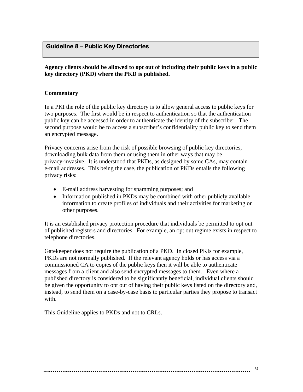#### <span id="page-33-0"></span> **Guideline 8 – Public Key Directories**

**Agency clients should be allowed to opt out of including their public keys in a public key directory (PKD) where the PKD is published.** 

#### **Commentary**

In a PKI the role of the public key directory is to allow general access to public keys for two purposes. The first would be in respect to authentication so that the authentication public key can be accessed in order to authenticate the identity of the subscriber. The second purpose would be to access a subscriber's confidentiality public key to send them an encrypted message.

Privacy concerns arise from the risk of possible browsing of public key directories, downloading bulk data from them or using them in other ways that may be privacy-invasive. It is understood that PKDs, as designed by some CAs, may contain e-mail addresses. This being the case, the publication of PKDs entails the following privacy risks:

- E-mail address harvesting for spamming purposes; and
- Information published in PKDs may be combined with other publicly available information to create profiles of individuals and their activities for marketing or other purposes.

It is an established privacy protection procedure that individuals be permitted to opt out of published registers and directories. For example, an opt out regime exists in respect to telephone directories.

Gatekeeper does not require the publication of a PKD. In closed PKIs for example, PKDs are not normally published. If the relevant agency holds or has access via a commissioned CA to copies of the public keys then it will be able to authenticate messages from a client and also send encrypted messages to them. Even where a published directory is considered to be significantly beneficial, individual clients should be given the opportunity to opt out of having their public keys listed on the directory and, instead, to send them on a case-by-case basis to particular parties they propose to transact with.

This Guideline applies to PKDs and not to CRLs.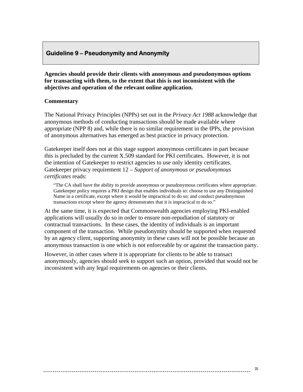#### <span id="page-34-0"></span> **Guideline 9 – Pseudonymity and Anonymity**

**Agencies should provide their clients with anonymous and pseudonymous options for transacting with them, to the extent that this is not inconsistent with the objectives and operation of the relevant online application.** 

#### **Commentary**

The National Privacy Principles (NPPs) set out in the *Privacy Act 1988* acknowledge that anonymous methods of conducting transactions should be made available where appropriate (NPP 8) and, while there is no similar requirement in the IPPs, the provision of anonymous alternatives has emerged as best practice in privacy protection.

Gatekeeper itself does not at this stage support anonymous certificates in part because this is precluded by the current X.509 standard for PKI certificates. However, it is not the intention of Gatekeeper to restrict agencies to use only identity certificates. Gatekeeper privacy requirement 12 – *Support of anonymous or pseudonymous certificates* reads:

"The CA shall have the ability to provide anonymous or pseudonymous certificates where appropriate. Gatekeeper policy requires a PKI design that enables individuals to: choose to use any Distinguished Name in a certificate, except where it would be impractical to do so; and conduct pseudonymous transactions except where the agency demonstrates that it is impractical to do so."

At the same time, it is expected that Commonwealth agencies employing PKI-enabled applications will usually do so in order to ensure non-repudiation of statutory or contractual transactions. In these cases, the identity of individuals is an important component of the transaction. While pseudonymity should be supported when requested by an agency client, supporting anonymity in these cases will not be possible because an anonymous transaction is one which is not enforceable by or against the transaction party.

However, in other cases where it is appropriate for clients to be able to transact anonymously, agencies should seek to support such an option, provided that would not be inconsistent with any legal requirements on agencies or their clients.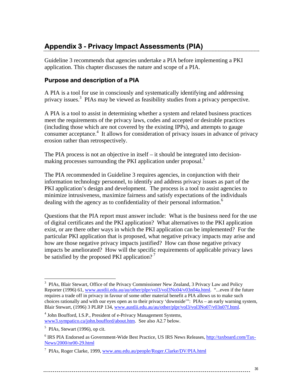### <span id="page-35-0"></span>**Appendix 3 - Privacy Impact Assessments (PIA)**

Guideline 3 recommends that agencies undertake a PIA before implementing a PKI application. This chapter discusses the nature and scope of a PIA.

#### **Purpose and description of a PIA**

A PIA is a tool for use in consciously and systematically identifying and addressing privacy issues.[3](#page-35-1) PIAs may be viewed as feasibility studies from a privacy perspective.

A PIA is a tool to assist in determining whether a system and related business practices meet the requirements of the privacy laws, codes and accepted or desirable practices (including those which are not covered by the existing IPPs), and attempts to gauge consumer acceptance.<sup>4</sup> It allows for consideration of privacy issues in advance of privacy erosion rather than retrospectively.

The PIA process is not an objective in itself  $-$  it should be integrated into decisionmaking processes surrounding the PKI application under proposal.<sup>5</sup>

The PIA recommended in Guideline 3 requires agencies, in conjunction with their information technology personnel, to identify and address privacy issues as part of the PKI application's design and development. The process is a tool to assist agencies to minimize intrusiveness, maximize fairness and satisfy expectations of the individuals dealing with the agency as to confidentiality of their personal information.<sup>[6](#page-35-4)</sup>

Questions that the PIA report must answer include: What is the business need for the use of digital certificates and the PKI application? What alternatives to the PKI application exist, or are there other ways in which the PKI application can be implemented? For the particular PKI application that is proposed, what negative privacy impacts may arise and how are those negative privacy impacts justified? How can those negative privacy impacts be ameliorated? How will the specific requirements of applicable privacy laws be satisfied by the proposed PKI application?<sup>[7](#page-35-5)</sup>

 $\overline{a}$ 

<span id="page-35-1"></span><sup>&</sup>lt;sup>3</sup> PIAs, Blair Stewart, Office of the Privacy Commissioner New Zealand, 3 Privacy Law and Policy Reporter (1996) 61, [www.austlii.edu.au/au/other/plpr/vol3/vol3No04/v03n04a.html.](http://www.austlii.edu.au/au/other/plpr/vol3/vol3No04/v03n04a.html) "...even if the future requires a trade off in privacy in favour of some other material benefit a PIA allows us to make such choices rationally and with our eyes open as to their privacy 'downside'": PIAs – an early warning system, Blair Stewart, (1996) 3 PLRP 134, [www.austlii.edu.au/au/other/plpr/vol3/vol3No07/v03n07f.html](http://www.austlii.edu.au/au/other/plpr/vol3/vol3No04/v03n04a.html).

<span id="page-35-2"></span><sup>&</sup>lt;sup>4</sup> John Boufford, I.S.P., President of e-Privacy Management Systems, [www3.sympatico.ca/john.boufford/about.htm.](http://www3.sympatico.ca/john.boufford/about.htm) See also A2.7 below.

<span id="page-35-3"></span> $<sup>5</sup>$  PIAs, Stewart (1996), op cit.</sup>

<span id="page-35-4"></span><sup>&</sup>lt;sup>6</sup> IRS PIA Endorsed as Government-Wide Best Practice, US IRS News Releases, [http://taxboard.com/Tax-](http://taxboard.com/Tax-News/2000/nr00-29.html)[News/2000/nr00-29.html](http://taxboard.com/Tax-News/2000/nr00-29.html) 

<span id="page-35-5"></span><sup>&</sup>lt;sup>7</sup> PIAs, Roger Clarke, 1999, [www.anu.edu.au/people/Roger.Clarke/DV/PIA.html](http://www.anu.edu.au/people/Roger.Clarke/DV/PIA.html)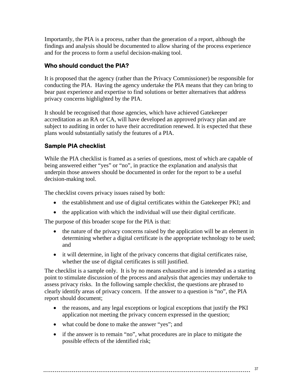<span id="page-36-0"></span>Importantly, the PIA is a process, rather than the generation of a report, although the findings and analysis should be documented to allow sharing of the process experience and for the process to form a useful decision-making tool.

#### **Who should conduct the PIA?**

It is proposed that the agency (rather than the Privacy Commissioner) be responsible for conducting the PIA. Having the agency undertake the PIA means that they can bring to bear past experience and expertise to find solutions or better alternatives that address privacy concerns highlighted by the PIA.

It should be recognised that those agencies, which have achieved Gatekeeper accreditation as an RA or CA, will have developed an approved privacy plan and are subject to auditing in order to have their accreditation renewed. It is expected that these plans would substantially satisfy the features of a PIA.

#### **Sample PIA checklist**

While the PIA checklist is framed as a series of questions, most of which are capable of being answered either "yes" or "no", in practice the explanation and analysis that underpin those answers should be documented in order for the report to be a useful decision-making tool.

The checklist covers privacy issues raised by both:

- the establishment and use of digital certificates within the Gatekeeper PKI; and
- the application with which the individual will use their digital certificate.

The purpose of this broader scope for the PIA is that:

- the nature of the privacy concerns raised by the application will be an element in determining whether a digital certificate is the appropriate technology to be used; and
- it will determine, in light of the privacy concerns that digital certificates raise, whether the use of digital certificates is still justified.

The checklist is a sample only. It is by no means exhaustive and is intended as a starting point to stimulate discussion of the process and analysis that agencies may undertake to assess privacy risks. In the following sample checklist, the questions are phrased to clearly identify areas of privacy concern. If the answer to a question is "no", the PIA report should document;

- the reasons, and any legal exceptions or logical exceptions that justify the PKI application not meeting the privacy concern expressed in the question;
- what could be done to make the answer "yes"; and
- if the answer is to remain "no", what procedures are in place to mitigate the possible effects of the identified risk;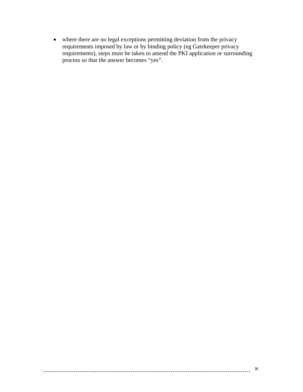• where there are no legal exceptions permitting deviation from the privacy requirements imposed by law or by binding policy (eg Gatekeeper privacy requirements), steps must be taken to amend the PKI application or surrounding process so that the answer becomes "yes".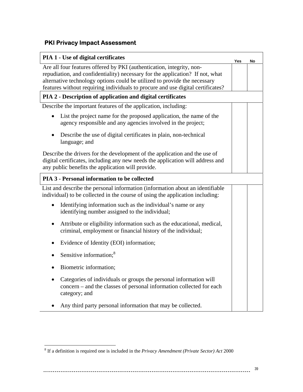### <span id="page-38-0"></span>**PKI Privacy Impact Assessment**

| <b>PIA 1 - Use of digital certificates</b>                                                                                                                                                                                                                                                                             | Yes | No |
|------------------------------------------------------------------------------------------------------------------------------------------------------------------------------------------------------------------------------------------------------------------------------------------------------------------------|-----|----|
| Are all four features offered by PKI (authentication, integrity, non-<br>repudiation, and confidentiality) necessary for the application? If not, what<br>alternative technology options could be utilized to provide the necessary<br>features without requiring individuals to procure and use digital certificates? |     |    |
| PIA 2 - Description of application and digital certificates                                                                                                                                                                                                                                                            |     |    |
| Describe the important features of the application, including:                                                                                                                                                                                                                                                         |     |    |
| List the project name for the proposed application, the name of the<br>agency responsible and any agencies involved in the project;                                                                                                                                                                                    |     |    |
| Describe the use of digital certificates in plain, non-technical<br>٠<br>language; and                                                                                                                                                                                                                                 |     |    |
| Describe the drivers for the development of the application and the use of<br>digital certificates, including any new needs the application will address and<br>any public benefits the application will provide.                                                                                                      |     |    |
| <b>PIA 3 - Personal information to be collected</b>                                                                                                                                                                                                                                                                    |     |    |
| List and describe the personal information (information about an identifiable<br>individual) to be collected in the course of using the application including:                                                                                                                                                         |     |    |
| Identifying information such as the individual's name or any<br>$\bullet$<br>identifying number assigned to the individual;                                                                                                                                                                                            |     |    |
| Attribute or eligibility information such as the educational, medical,<br>$\bullet$<br>criminal, employment or financial history of the individual;                                                                                                                                                                    |     |    |
| Evidence of Identity (EOI) information;                                                                                                                                                                                                                                                                                |     |    |
| Sensitive information; <sup>8</sup>                                                                                                                                                                                                                                                                                    |     |    |
| Biometric information;                                                                                                                                                                                                                                                                                                 |     |    |
| Categories of individuals or groups the personal information will<br>concern – and the classes of personal information collected for each<br>category; and                                                                                                                                                             |     |    |
| Any third party personal information that may be collected.                                                                                                                                                                                                                                                            |     |    |

<span id="page-38-1"></span> 8 If a definition is required one is included in the *Privacy Amendment (Private Sector) Act* 2000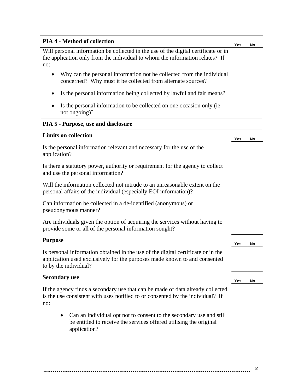| <b>PIA 4 - Method of collection</b>                                                                                                                                       | Yes | No |
|---------------------------------------------------------------------------------------------------------------------------------------------------------------------------|-----|----|
| Will personal information be collected in the use of the digital certificate or in<br>the application only from the individual to whom the information relates? If<br>no: |     |    |
| Why can the personal information not be collected from the individual<br>٠<br>concerned? Why must it be collected from alternate sources?                                 |     |    |
| Is the personal information being collected by lawful and fair means?<br>٠                                                                                                |     |    |
| Is the personal information to be collected on one occasion only (ie)<br>٠<br>not ongoing)?                                                                               |     |    |
| PIA 5 - Purpose, use and disclosure                                                                                                                                       |     |    |

#### **Limits on collection**

Is the personal information relevant and necessary for the use of the application?

Is there a statutory power, authority or requirement for the agency to collect and use the personal information?

Will the information collected not intrude to an unreasonable extent on the personal affairs of the individual (especially EOI information)?

Can information be collected in a de-identified (anonymous) or pseudonymous manner?

Are individuals given the option of acquiring the services without having to provide some or all of the personal information sought?

Is personal information obtained in the use of the digital certificate or in the application used exclusively for the purposes made known to and consented to by the individual?

### **Secondary use Yes No**

If the agency finds a secondary use that can be made of data already collected, is the use consistent with uses notified to or consented by the individual? If no:

• Can an individual opt not to consent to the secondary use and still be entitled to receive the services offered utilising the original application?





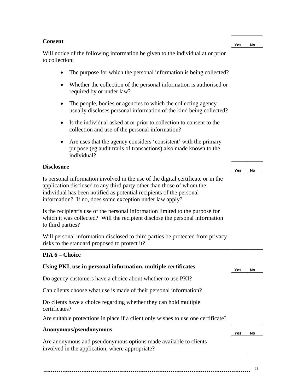#### **Consent**

Will notice of the following information be given to the individual at or prior to collection:

- The purpose for which the personal information is being collected?
- Whether the collection of the personal information is authorised or required by or under law?
- The people, bodies or agencies to which the collecting agency usually discloses personal information of the kind being collected?
- Is the individual asked at or prior to collection to consent to the collection and use of the personal information?
- Are uses that the agency considers 'consistent' with the primary purpose (eg audit trails of transactions) also made known to the individual?

#### **Disclosure**

Is personal information involved in the use of the digital certificate or in the application disclosed to any third party other than those of whom the individual has been notified as potential recipients of the personal information? If no, does some exception under law apply?

Is the recipient's use of the personal information limited to the purpose for which it was collected? Will the recipient disclose the personal information to third parties?

Will personal information disclosed to third parties be protected from privacy risks to the standard proposed to protect it?

#### **PIA 6 – Choice**

#### **Using PKI, use in personal information, multiple certificates**

Do agency customers have a choice about whether to use PKI?

Can clients choose what use is made of their personal information?

Do clients have a choice regarding whether they can hold multiple certificates?

Are suitable protections in place if a client only wishes to use one certificate?

### **Anonymous/pseudonymous Yes No**

Are anonymous and pseudonymous options made available to clients involved in the application, where appropriate?







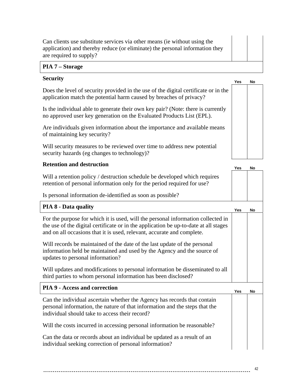| Can clients use substitute services via other means (ie without using the    |
|------------------------------------------------------------------------------|
| application) and thereby reduce (or eliminate) the personal information they |
| are required to supply?                                                      |

#### **PIA 7 – Storage**

### **Security Yes No**

Does the level of security provided in the use of the digital certificate or in the application match the potential harm caused by breaches of privacy?

Is the individual able to generate their own key pair? (Note: there is currently no approved user key generation on the Evaluated Products List (EPL).

Are individuals given information about the importance and available means of maintaining key security?

Will security measures to be reviewed over time to address new potential security hazards (eg changes to technology)?

#### **Retention and destruction**

Will a retention policy / destruction schedule be developed which requires retention of personal information only for the period required for use?

| Is personal information de-identified as soon as possible?                                                                                                                                                                                         |     |    |
|----------------------------------------------------------------------------------------------------------------------------------------------------------------------------------------------------------------------------------------------------|-----|----|
| <b>PIA 8 - Data quality</b>                                                                                                                                                                                                                        | Yes | No |
| For the purpose for which it is used, will the personal information collected in<br>the use of the digital certificate or in the application be up-to-date at all stages<br>and on all occasions that it is used, relevant, accurate and complete. |     |    |
| Will records be maintained of the date of the last update of the personal<br>information held be maintained and used by the Agency and the source of<br>updates to personal information?                                                           |     |    |
| Will updates and modifications to personal information be disseminated to all<br>third parties to whom personal information has been disclosed?                                                                                                    |     |    |
| <b>PIA 9 - Access and correction</b>                                                                                                                                                                                                               | Yes | No |
| Can the individual ascertain whether the Agency has records that contain<br>personal information, the nature of that information and the steps that the<br>individual should take to access their record?                                          |     |    |
| Will the costs incurred in accessing personal information be reasonable?                                                                                                                                                                           |     |    |
| Can the data or records about an individual be updated as a result of an<br>individual seeking correction of personal information?                                                                                                                 |     |    |



**Yes No**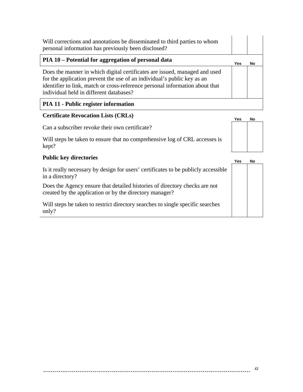| Will corrections and annotations be disseminated to third parties to whom<br>personal information has previously been disclosed?                                                                                                                                                 |     |    |
|----------------------------------------------------------------------------------------------------------------------------------------------------------------------------------------------------------------------------------------------------------------------------------|-----|----|
| PIA 10 – Potential for aggregation of personal data                                                                                                                                                                                                                              | Yes | No |
| Does the manner in which digital certificates are issued, managed and used<br>for the application prevent the use of an individual's public key as an<br>identifier to link, match or cross-reference personal information about that<br>individual held in different databases? |     |    |
| <b>PIA 11 - Public register information</b>                                                                                                                                                                                                                                      |     |    |

### **Certificate Revocation Lists (CRLs) Yes No**

Can a subscriber revoke their own certificate?

Will steps be taken to ensure that no comprehensive log of CRL accesses is kept?

#### **Public key directories**

Is it really necessary by design for users' certificates to be publicly accessible in a directory?

Does the Agency ensure that detailed histories of directory checks are not created by the application or by the directory manager?

Will steps be taken to restrict directory searches to single specific searches only?

|    | Yes | No |
|----|-----|----|
| le |     |    |
|    |     |    |
|    |     |    |
|    |     |    |
|    |     |    |
|    |     |    |
|    |     |    |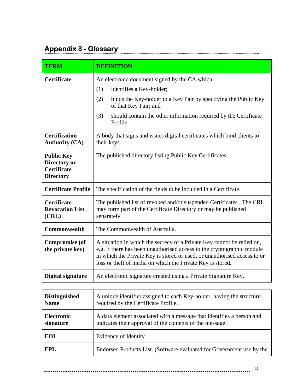## <span id="page-43-0"></span>**Appendix 3 - Glossary**

| <b>TERM</b>                                                                 | <b>DEFINITION</b>                                                                                                                                                                                                                                                                          |
|-----------------------------------------------------------------------------|--------------------------------------------------------------------------------------------------------------------------------------------------------------------------------------------------------------------------------------------------------------------------------------------|
| Certificate                                                                 | An electronic document signed by the CA which:<br>(1)<br>identifies a Key-holder;<br>(2)<br>binds the Key-holder to a Key Pair by specifying the Public Key<br>of that Key Pair; and<br>(3)<br>should contain the other information required by the Certificate<br>Profile                 |
| <b>Certification</b><br><b>Authority (CA)</b>                               | A body that signs and issues digital certificates which bind clients to<br>their keys.                                                                                                                                                                                                     |
| <b>Public Key</b><br>Directory or<br><b>Certificate</b><br><b>Directory</b> | The published directory listing Public Key Certificates.                                                                                                                                                                                                                                   |
| <b>Certificate Profile</b>                                                  | The specification of the fields to be included in a Certificate.                                                                                                                                                                                                                           |
| <b>Certificate</b><br><b>Revocation List</b><br>(CRL)                       | The published list of revoked and/or suspended Certificates. The CRL<br>may form part of the Certificate Directory or may be published<br>separately.                                                                                                                                      |
| Commonwealth                                                                | The Commonwealth of Australia.                                                                                                                                                                                                                                                             |
| <b>Compromise (of</b><br>the private key)                                   | A situation in which the secrecy of a Private Key cannot be relied on,<br>e.g. if there has been unauthorised access to the cryptographic module<br>in which the Private Key is stored or used, or unauthorised access to or<br>loss or theft of media on which the Private Key is stored. |
| Digital signature                                                           | An electronic signature created using a Private Signature Key.                                                                                                                                                                                                                             |
|                                                                             |                                                                                                                                                                                                                                                                                            |
| <b>Distinguished</b><br><b>Name</b>                                         | A unique identifier assigned to each Key-holder, having the structure<br>required by the Certificate Profile.                                                                                                                                                                              |
| <b>Electronic</b><br>signature                                              | A data element associated with a message that identifies a person and<br>indicates their approval of the contents of the message.                                                                                                                                                          |

**EPL** Endorsed Products List. (Software evaluated for Government use by the

**EOI** Evidence of Identity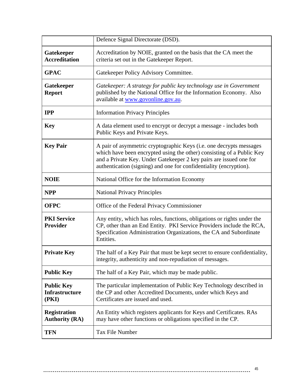|                                                     | Defence Signal Directorate (DSD).                                                                                                                                                                                                                                                        |
|-----------------------------------------------------|------------------------------------------------------------------------------------------------------------------------------------------------------------------------------------------------------------------------------------------------------------------------------------------|
| Gatekeeper<br><b>Accreditation</b>                  | Accreditation by NOIE, granted on the basis that the CA meet the<br>criteria set out in the Gatekeeper Report.                                                                                                                                                                           |
| <b>GPAC</b>                                         | Gatekeeper Policy Advisory Committee.                                                                                                                                                                                                                                                    |
| Gatekeeper<br><b>Report</b>                         | Gatekeeper: A strategy for public key technology use in Government<br>published by the National Office for the Information Economy. Also<br>available at www.govonline.gov.au.                                                                                                           |
| <b>IPP</b>                                          | <b>Information Privacy Principles</b>                                                                                                                                                                                                                                                    |
| <b>Key</b>                                          | A data element used to encrypt or decrypt a message - includes both<br>Public Keys and Private Keys.                                                                                                                                                                                     |
| <b>Key Pair</b>                                     | A pair of asymmetric cryptographic Keys (i.e. one decrypts messages<br>which have been encrypted using the other) consisting of a Public Key<br>and a Private Key. Under Gatekeeper 2 key pairs are issued one for<br>authentication (signing) and one for confidentiality (encryption). |
| <b>NOIE</b>                                         | National Office for the Information Economy                                                                                                                                                                                                                                              |
| <b>NPP</b>                                          | <b>National Privacy Principles</b>                                                                                                                                                                                                                                                       |
| <b>OFPC</b>                                         | Office of the Federal Privacy Commissioner                                                                                                                                                                                                                                               |
| <b>PKI Service</b><br>Provider                      | Any entity, which has roles, functions, obligations or rights under the<br>CP, other than an End Entity. PKI Service Providers include the RCA,<br>Specification Administration Organizations, the CA and Subordinate                                                                    |
|                                                     | Entities.                                                                                                                                                                                                                                                                                |
| <b>Private Key</b>                                  | The half of a Key Pair that must be kept secret to ensure confidentiality,<br>integrity, authenticity and non-repudiation of messages.                                                                                                                                                   |
| <b>Public Key</b>                                   | The half of a Key Pair, which may be made public.                                                                                                                                                                                                                                        |
| <b>Public Key</b><br><b>Infrastructure</b><br>(PKI) | The particular implementation of Public Key Technology described in<br>the CP and other Accredited Documents, under which Keys and<br>Certificates are issued and used.                                                                                                                  |
| <b>Registration</b><br><b>Authority (RA)</b>        | An Entity which registers applicants for Keys and Certificates. RAs<br>may have other functions or obligations specified in the CP.                                                                                                                                                      |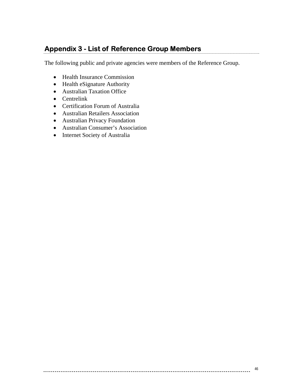## <span id="page-45-0"></span>**Appendix 3 - List of Reference Group Members**

The following public and private agencies were members of the Reference Group.

- Health Insurance Commission
- Health eSignature Authority
- Australian Taxation Office
- Centrelink
- Certification Forum of Australia
- Australian Retailers Association
- Australian Privacy Foundation
- Australian Consumer's Association
- Internet Society of Australia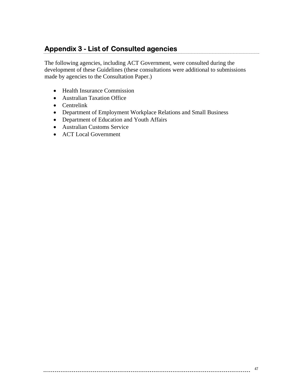# <span id="page-46-0"></span>**Appendix 3 - List of Consulted agencies**

The following agencies, including ACT Government, were consulted during the development of these Guidelines (these consultations were additional to submissions made by agencies to the Consultation Paper.)

- Health Insurance Commission
- Australian Taxation Office
- Centrelink
- Department of Employment Workplace Relations and Small Business
- Department of Education and Youth Affairs
- Australian Customs Service
- ACT Local Government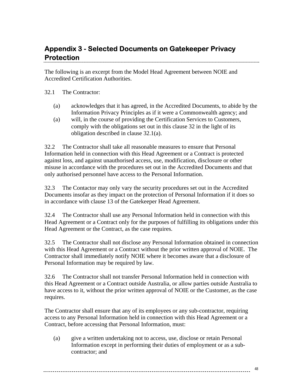### <span id="page-47-0"></span>**Appendix 3 - Selected Documents on Gatekeeper Privacy Protection**

The following is an excerpt from the Model Head Agreement between NOIE and Accredited Certification Authorities.

#### 32.1 The Contractor:

- (a) acknowledges that it has agreed, in the Accredited Documents, to abide by the Information Privacy Principles as if it were a Commonwealth agency; and
- (a) will, in the course of providing the Certification Services to Customers, comply with the obligations set out in this clause 32 in the light of its obligation described in clause 32.1(a).

32.2 The Contractor shall take all reasonable measures to ensure that Personal Information held in connection with this Head Agreement or a Contract is protected against loss, and against unauthorised access, use, modification, disclosure or other misuse in accordance with the procedures set out in the Accredited Documents and that only authorised personnel have access to the Personal Information.

32.3 The Contactor may only vary the security procedures set out in the Accredited Documents insofar as they impact on the protection of Personal Information if it does so in accordance with clause 13 of the Gatekeeper Head Agreement.

32.4 The Contractor shall use any Personal Information held in connection with this Head Agreement or a Contract only for the purposes of fulfilling its obligations under this Head Agreement or the Contract, as the case requires.

32.5 The Contractor shall not disclose any Personal Information obtained in connection with this Head Agreement or a Contract without the prior written approval of NOIE. The Contractor shall immediately notify NOIE where it becomes aware that a disclosure of Personal Information may be required by law.

32.6 The Contractor shall not transfer Personal Information held in connection with this Head Agreement or a Contract outside Australia, or allow parties outside Australia to have access to it, without the prior written approval of NOIE or the Customer, as the case requires.

The Contractor shall ensure that any of its employees or any sub-contractor, requiring access to any Personal Information held in connection with this Head Agreement or a Contract, before accessing that Personal Information, must:

(a) give a written undertaking not to access, use, disclose or retain Personal Information except in performing their duties of employment or as a subcontractor; and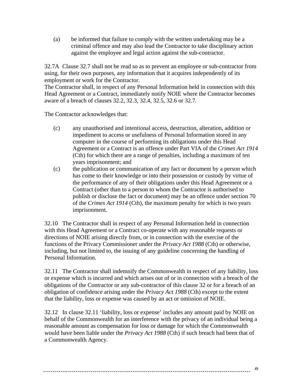(a) be informed that failure to comply with the written undertaking may be a criminal offence and may also lead the Contractor to take disciplinary action against the employee and legal action against the sub-contractor.

32.7A Clause 32.7 shall not be read so as to prevent an employee or sub-contractor from using, for their own purposes, any information that it acquires independently of its employment or work for the Contractor.

The Contractor shall, in respect of any Personal Information held in connection with this Head Agreement or a Contract, immediately notify NOIE where the Contractor becomes aware of a breach of clauses 32.2, 32.3, 32.4, 32.5, 32.6 or 32.7.

The Contractor acknowledges that:

- (c) any unauthorised and intentional access, destruction, alteration, addition or impediment to access or usefulness of Personal Information stored in any computer in the course of performing its obligations under this Head Agreement or a Contract is an offence under Part VIA of the *Crimes Act 1914* (Cth) for which there are a range of penalties, including a maximum of ten years imprisonment; and
- (c) the publication or communication of any fact or document by a person which has come to their knowledge or into their possession or custody by virtue of the performance of any of their obligations under this Head Agreement or a Contract (other than to a person to whom the Contractor is authorised to publish or disclose the fact or document) may be an offence under section 70 of the *Crimes Act 1914* (Cth), the maximum penalty for which is two years imprisonment.

32.10 The Contractor shall in respect of any Personal Information held in connection with this Head Agreement or a Contract co-operate with any reasonable requests or directions of NOIE arising directly from, or in connection with the exercise of the functions of the Privacy Commissioner under the *Privacy Act 1988* (Cth) or otherwise, including, but not limited to, the issuing of any guideline concerning the handling of Personal Information.

32.11 The Contractor shall indemnify the Commonwealth in respect of any liability, loss or expense which is incurred and which arises out of or in connection with a breach of the obligations of the Contractor or any sub-contractor of this clause 32 or for a breach of an obligation of confidence arising under the *Privacy Act 1988* (Cth) except to the extent that the liability, loss or expense was caused by an act or omission of NOIE.

32.12 In clause 32.11 'liability, loss or expense' includes any amount paid by NOIE on behalf of the Commonwealth for an interference with the privacy of an individual being a reasonable amount as compensation for loss or damage for which the Commonwealth would have been liable under the *Privacy Act 1988* (Cth) if such breach had been that of a Commonwealth Agency.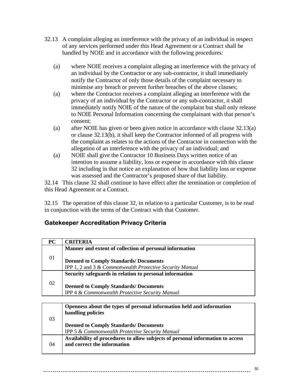- <span id="page-49-0"></span>32.13 A complaint alleging an interference with the privacy of an individual in respect of any services performed under this Head Agreement or a Contract shall be handled by NOIE and in accordance with the following procedures:
	- (a) where NOIE receives a complaint alleging an interference with the privacy of an individual by the Contractor or any sub-contractor, it shall immediately notify the Contractor of only those details of the complaint necessary to minimise any breach or prevent further breaches of the above clauses;
	- (a) where the Contractor receives a complaint alleging an interference with the privacy of an individual by the Contractor or any sub-contractor, it shall immediately notify NOIE of the nature of the complaint but shall only release to NOIE Personal Information concerning the complainant with that person's consent;
	- (a) after NOIE has given or been given notice in accordance with clause 32.13(a) or clause 32.13(b), it shall keep the Contractor informed of all progress with the complaint as relates to the actions of the Contractor in connection with the allegation of an interference with the privacy of an individual; and
	- (a) NOIE shall give the Contractor 10 Business Days written notice of an intention to assume a liability, loss or expense in accordance with this clause 32 including in that notice an explanation of how that liability loss or expense was assessed and the Contractor's proposed share of that liability.

32.14 This clause 32 shall continue to have effect after the termination or completion of this Head Agreement or a Contract.

32.15 The operation of this clause 32, in relation to a particular Customer, is to be read in conjunction with the terms of the Contract with that Customer.

### **Gatekeeper Accreditation Privacy Criteria**

|    | Manner and extent of collection of personal information  |
|----|----------------------------------------------------------|
| 01 |                                                          |
|    | <b>Deemed to Comply Standards/ Documents</b>             |
|    | IPP 1, 2 and 3 & Commonwealth Protective Security Manual |
|    | Security safeguards in relation to personal information  |
|    |                                                          |
| 02 | <b>Deemed to Comply Standards/ Documents</b>             |
|    | IPP 4 & Commonwealth Protective Security Manual          |

| 03 | Openness about the types of personal information held and information<br>handling policies                    |
|----|---------------------------------------------------------------------------------------------------------------|
|    | <b>Deemed to Comply Standards/Documents</b><br>IPP 5 & Commonwealth Protective Security Manual                |
| 04 | Availability of procedures to allow subjects of personal information to access<br>and correct the information |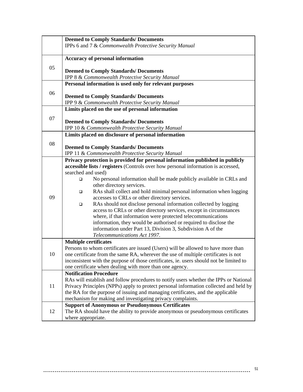|    | <b>Deemed to Comply Standards/ Documents</b>                                                                                                  |
|----|-----------------------------------------------------------------------------------------------------------------------------------------------|
|    | IPPs 6 and 7 & Commonwealth Protective Security Manual                                                                                        |
|    |                                                                                                                                               |
|    | <b>Accuracy of personal information</b>                                                                                                       |
| 05 |                                                                                                                                               |
|    | <b>Deemed to Comply Standards/ Documents</b><br><b>IPP 8 &amp; Commonwealth Protective Security Manual</b>                                    |
|    | Personal information is used only for relevant purposes                                                                                       |
|    |                                                                                                                                               |
| 06 | <b>Deemed to Comply Standards/ Documents</b>                                                                                                  |
|    | IPP 9 & Commonwealth Protective Security Manual                                                                                               |
|    | Limits placed on the use of personal information                                                                                              |
| 07 |                                                                                                                                               |
|    | <b>Deemed to Comply Standards/ Documents</b>                                                                                                  |
|    | IPP 10 & Commonwealth Protective Security Manual                                                                                              |
|    | Limits placed on disclosure of personal information                                                                                           |
| 08 |                                                                                                                                               |
|    | <b>Deemed to Comply Standards/ Documents</b><br>IPP 11 & Commonwealth Protective Security Manual                                              |
|    | Privacy protection is provided for personal information published in publicly                                                                 |
|    | accessible lists / registers (Controls over how personal information is accessed,                                                             |
|    | searched and used)                                                                                                                            |
| 09 | No personal information shall be made publicly available in CRLs and<br>$\Box$                                                                |
|    | other directory services.                                                                                                                     |
|    | RAs shall collect and hold minimal personal information when logging<br>$\Box$                                                                |
|    | accesses to CRLs or other directory services.                                                                                                 |
|    | RAs should not disclose personal information collected by logging<br>$\Box$                                                                   |
|    | access to CRLs or other directory services, except in circumstances                                                                           |
|    | where, if that information were protected telecommunications<br>information, they would be authorised or required to disclose the             |
|    | information under Part 13, Division 3, Subdivision A of the                                                                                   |
|    | Telecommunications Act 1997.                                                                                                                  |
|    | <b>Multiple certificates</b>                                                                                                                  |
| 10 | Persons to whom certificates are issued (Users) will be allowed to have more than                                                             |
|    | one certificate from the same RA, wherever the use of multiple certificates is not                                                            |
|    | inconsistent with the purpose of those certificates, ie. users should not be limited to                                                       |
|    | one certificate when dealing with more than one agency.                                                                                       |
| 11 | <b>Notification Procedure</b>                                                                                                                 |
|    | RAs will establish and follow procedures to notify users whether the IPPs or National                                                         |
|    | Privacy Principles (NPPs) apply to protect personal information collected and held by                                                         |
|    | the RA for the purpose of issuing and managing certificates, and the applicable<br>mechanism for making and investigating privacy complaints. |
|    | <b>Support of Anonymous or Pseudonymous Certificates</b>                                                                                      |
| 12 | The RA should have the ability to provide anonymous or pseudonymous certificates                                                              |
|    | where appropriate.                                                                                                                            |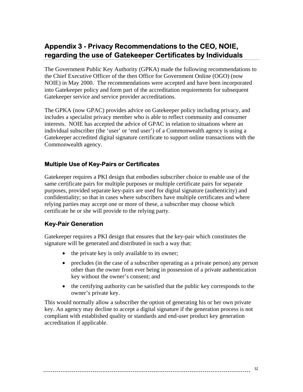### <span id="page-51-0"></span>**Appendix 3 - Privacy Recommendations to the CEO, NOIE, regarding the use of Gatekeeper Certificates by Individuals**

The Government Public Key Authority (GPKA) made the following recommendations to the Chief Executive Officer of the then Office for Government Online (OGO) (now NOIE) in May 2000. The recommendations were accepted and have been incorporated into Gatekeeper policy and form part of the accreditation requirements for subsequent Gatekeeper service and service provider accreditations.

The GPKA (now GPAC) provides advice on Gatekeeper policy including privacy, and includes a specialist privacy member who is able to reflect community and consumer interests. NOIE has accepted the advice of GPAC in relation to situations where an individual subscriber (the 'user' or 'end user') of a Commonwealth agency is using a Gatekeeper accredited digital signature certificate to support online transactions with the Commonwealth agency.

#### **Multiple Use of Key-Pairs or Certificates**

Gatekeeper requires a PKI design that embodies subscriber choice to enable use of the same certificate pairs for multiple purposes or multiple certificate pairs for separate purposes, provided separate key-pairs are used for digital signature (authenticity) and confidentiality; so that in cases where subscribers have multiple certificates and where relying parties may accept one or more of these, a subscriber may choose which certificate he or she will provide to the relying party.

#### **Key-Pair Generation**

Gatekeeper requires a PKI design that ensures that the key-pair which constitutes the signature will be generated and distributed in such a way that:

- the private key is only available to its owner;
- precludes (in the case of a subscriber operating as a private person) any person other than the owner from ever being in possession of a private authentication key without the owner's consent; and
- the certifying authority can be satisfied that the public key corresponds to the owner's private key.

This would normally allow a subscriber the option of generating his or her own private key. An agency may decline to accept a digital signature if the generation process is not compliant with established quality or standards and end-user product key generation accreditation if applicable.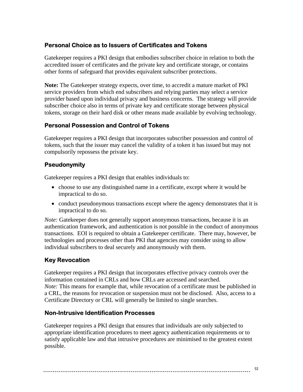#### <span id="page-52-0"></span>**Personal Choice as to Issuers of Certificates and Tokens**

Gatekeeper requires a PKI design that embodies subscriber choice in relation to both the accredited issuer of certificates and the private key and certificate storage, or contains other forms of safeguard that provides equivalent subscriber protections.

**Note:** The Gatekeeper strategy expects, over time, to accredit a mature market of PKI service providers from which end subscribers and relying parties may select a service provider based upon individual privacy and business concerns. The strategy will provide subscriber choice also in terms of private key and certificate storage between physical tokens, storage on their hard disk or other means made available by evolving technology.

#### **Personal Possession and Control of Tokens**

Gatekeeper requires a PKI design that incorporates subscriber possession and control of tokens, such that the issuer may cancel the validity of a token it has issued but may not compulsorily repossess the private key.

#### **Pseudonymity**

Gatekeeper requires a PKI design that enables individuals to:

- choose to use any distinguished name in a certificate, except where it would be impractical to do so.
- conduct pseudonymous transactions except where the agency demonstrates that it is impractical to do so.

*Note:* Gatekeeper does not generally support anonymous transactions, because it is an authentication framework, and authentication is not possible in the conduct of anonymous transactions. EOI is required to obtain a Gatekeeper certificate. There may, however, be technologies and processes other than PKI that agencies may consider using to allow individual subscribers to deal securely and anonymously with them.

#### **Key Revocation**

Gatekeeper requires a PKI design that incorporates effective privacy controls over the information contained in CRLs and how CRLs are accessed and searched. *Note:* This means for example that, while revocation of a certificate must be published in a CRL, the reasons for revocation or suspension must not be disclosed. Also, access to a Certificate Directory or CRL will generally be limited to single searches.

#### **Non-Intrusive Identification Processes**

Gatekeeper requires a PKI design that ensures that individuals are only subjected to appropriate identification procedures to meet agency authentication requirements or to satisfy applicable law and that intrusive procedures are minimised to the greatest extent possible.

```
53
```